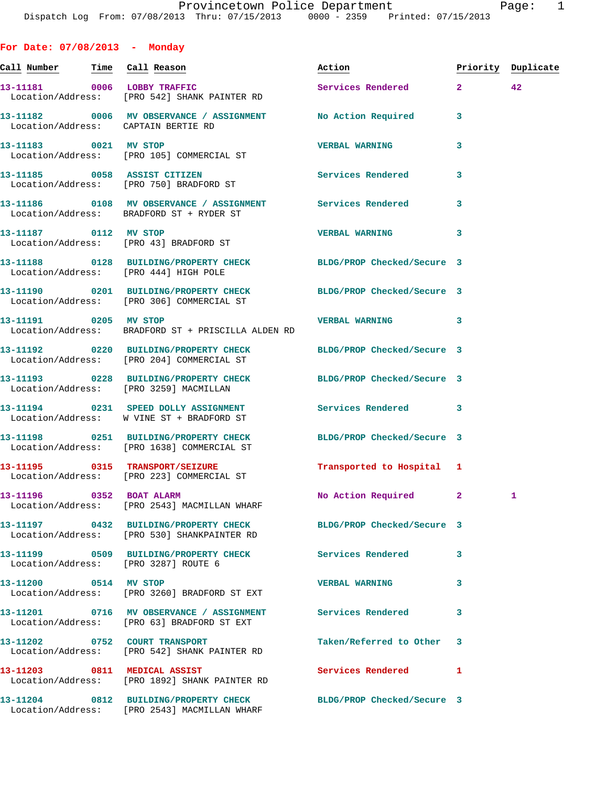**For Date: 07/08/2013 - Monday Call Number Time Call Reason Action Priority Duplicate 13-11181 0006 LOBBY TRAFFIC Services Rendered 2 42**  Location/Address: [PRO 542] SHANK PAINTER RD **13-11182 0006 MV OBSERVANCE / ASSIGNMENT No Action Required 3**  Location/Address: CAPTAIN BERTIE RD **13-11183 0021 MV STOP VERBAL WARNING 3**  Location/Address: [PRO 105] COMMERCIAL ST **13-11185 0058 ASSIST CITIZEN Services Rendered 3**  Location/Address: [PRO 750] BRADFORD ST **13-11186 0108 MV OBSERVANCE / ASSIGNMENT Services Rendered 3**  Location/Address: BRADFORD ST + RYDER ST **13-11187 0112 MV STOP VERBAL WARNING 3**  Location/Address: [PRO 43] BRADFORD ST **13-11188 0128 BUILDING/PROPERTY CHECK BLDG/PROP Checked/Secure 3**  Location/Address: [PRO 444] HIGH POLE **13-11190 0201 BUILDING/PROPERTY CHECK BLDG/PROP Checked/Secure 3**  Location/Address: [PRO 306] COMMERCIAL ST **13-11191 0205 MV STOP VERBAL WARNING 3**  Location/Address: BRADFORD ST + PRISCILLA ALDEN RD **13-11192 0220 BUILDING/PROPERTY CHECK BLDG/PROP Checked/Secure 3**  Location/Address: [PRO 204] COMMERCIAL ST **13-11193 0228 BUILDING/PROPERTY CHECK BLDG/PROP Checked/Secure 3**  Location/Address: [PRO 3259] MACMILLAN **13-11194 0231 SPEED DOLLY ASSIGNMENT Services Rendered 3**  Location/Address: W VINE ST + BRADFORD ST **13-11198 0251 BUILDING/PROPERTY CHECK BLDG/PROP Checked/Secure 3**  Location/Address: [PRO 1638] COMMERCIAL ST **13-11195 0315 TRANSPORT/SEIZURE Transported to Hospital 1**  Location/Address: [PRO 223] COMMERCIAL ST **13-11196 0352 BOAT ALARM No Action Required 2 1**  Location/Address: [PRO 2543] MACMILLAN WHARF **13-11197 0432 BUILDING/PROPERTY CHECK BLDG/PROP Checked/Secure 3**  Location/Address: [PRO 530] SHANKPAINTER RD **13-11199 0509 BUILDING/PROPERTY CHECK Services Rendered 3**  Location/Address: [PRO 3287] ROUTE 6 **13-11200 0514 MV STOP VERBAL WARNING 3**  Location/Address: [PRO 3260] BRADFORD ST EXT **13-11201 0716 MV OBSERVANCE / ASSIGNMENT Services Rendered 3**  Location/Address: [PRO 63] BRADFORD ST EXT **13-11202 0752 COURT TRANSPORT Taken/Referred to Other 3**  Location/Address: [PRO 542] SHANK PAINTER RD 13-11203 0811 MEDICAL ASSIST Services Rendered 1 Location/Address: [PRO 1892] SHANK PAINTER RD

**13-11204 0812 BUILDING/PROPERTY CHECK BLDG/PROP Checked/Secure 3**  Location/Address: [PRO 2543] MACMILLAN WHARF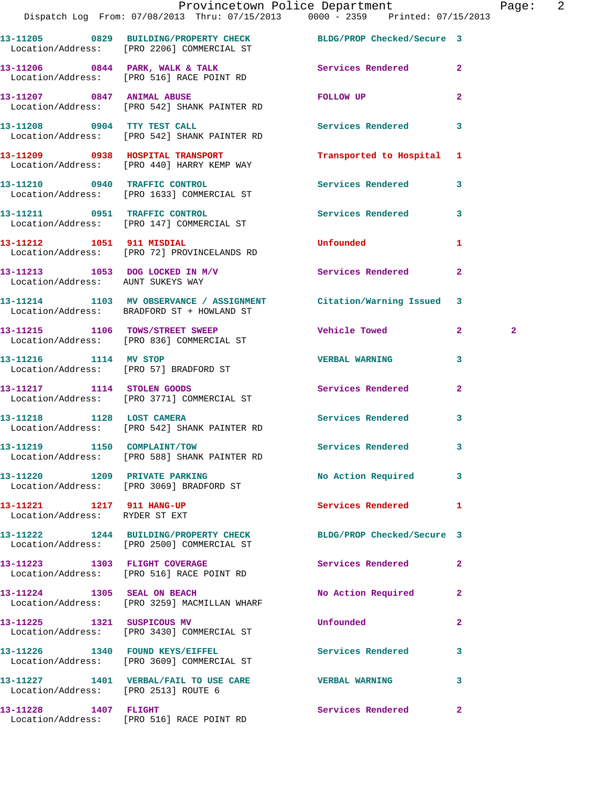|                                                             | Provincetown Police Department<br>Dispatch Log From: 07/08/2013 Thru: 07/15/2013 0000 - 2359 Printed: 07/15/2013 |                            |                | Pag          |
|-------------------------------------------------------------|------------------------------------------------------------------------------------------------------------------|----------------------------|----------------|--------------|
|                                                             | 13-11205 0829 BUILDING/PROPERTY CHECK BLDG/PROP Checked/Secure 3<br>Location/Address: [PRO 2206] COMMERCIAL ST   |                            |                |              |
|                                                             | 13-11206 0844 PARK, WALK & TALK 3 Services Rendered<br>Location/Address: [PRO 516] RACE POINT RD                 |                            | $\overline{2}$ |              |
|                                                             | 13-11207 0847 ANIMAL ABUSE<br>Location/Address: [PRO 542] SHANK PAINTER RD                                       | FOLLOW UP                  | $\overline{a}$ |              |
|                                                             | 13-11208 0904 TTY TEST CALL<br>Location/Address: [PRO 542] SHANK PAINTER RD                                      | <b>Services Rendered</b>   | 3              |              |
|                                                             | 13-11209 0938 HOSPITAL TRANSPORT<br>Location/Address: [PRO 440] HARRY KEMP WAY                                   | Transported to Hospital    | $\mathbf{1}$   |              |
|                                                             | 13-11210 0940 TRAFFIC CONTROL<br>Location/Address: [PRO 1633] COMMERCIAL ST                                      | Services Rendered          | 3              |              |
|                                                             | 13-11211 0951 TRAFFIC CONTROL<br>Location/Address: [PRO 147] COMMERCIAL ST                                       | Services Rendered          | 3              |              |
|                                                             | 13-11212 1051 911 MISDIAL<br>Location/Address: [PRO 72] PROVINCELANDS RD                                         | Unfounded                  | 1              |              |
| Location/Address: AUNT SUKEYS WAY                           | 13-11213 1053 DOG LOCKED IN M/V Services Rendered                                                                |                            | $\overline{2}$ |              |
|                                                             | 13-11214 1103 MV OBSERVANCE / ASSIGNMENT Citation/Warning Issued<br>Location/Address: BRADFORD ST + HOWLAND ST   |                            | 3              |              |
|                                                             | 13-11215 1106 TOWS/STREET SWEEP<br>Location/Address: [PRO 836] COMMERCIAL ST                                     | Vehicle Towed              | $\mathbf{2}$   | $\mathbf{2}$ |
|                                                             | 13-11216 1114 MV STOP<br>Location/Address: [PRO 57] BRADFORD ST                                                  | <b>VERBAL WARNING</b>      | 3              |              |
|                                                             | 13-11217 1114 STOLEN GOODS<br>Location/Address: [PRO 3771] COMMERCIAL ST                                         | Services Rendered          | $\overline{a}$ |              |
|                                                             | 13-11218 1128 LOST CAMERA<br>Location/Address: [PRO 542] SHANK PAINTER RD                                        | Services Rendered          | 3              |              |
|                                                             | 13-11219 1150 COMPLAINT/TOW<br>Location/Address: [PRO 588] SHANK PAINTER RD                                      | <b>Services Rendered</b>   |                |              |
|                                                             | 13-11220 1209 PRIVATE PARKING<br>Location/Address: [PRO 3069] BRADFORD ST                                        | No Action Required         | 3              |              |
| 13-11221 1217 911 HANG-UP<br>Location/Address: RYDER ST EXT |                                                                                                                  | <b>Services Rendered</b>   | 1              |              |
|                                                             | 13-11222 1244 BUILDING/PROPERTY CHECK<br>Location/Address: [PRO 2500] COMMERCIAL ST                              | BLDG/PROP Checked/Secure 3 |                |              |
| 13-11223 1303 FLIGHT COVERAGE                               | Location/Address: [PRO 516] RACE POINT RD                                                                        | Services Rendered          | $\mathbf{2}$   |              |
|                                                             | 13-11224 1305 SEAL ON BEACH<br>Location/Address: [PRO 3259] MACMILLAN WHARF                                      | No Action Required         | $\mathbf{2}$   |              |
| 13-11225 1321 SUSPICOUS MV                                  | Location/Address: [PRO 3430] COMMERCIAL ST                                                                       | Unfounded                  | $\mathbf{2}$   |              |
|                                                             | 13-11226 1340 FOUND KEYS/EIFFEL<br>Location/Address: [PRO 3609] COMMERCIAL ST                                    | <b>Services Rendered</b>   | 3              |              |
| Location/Address: [PRO 2513] ROUTE 6                        | 13-11227 1401 VERBAL/FAIL TO USE CARE                                                                            | <b>VERBAL WARNING</b>      | 3              |              |
| 13-11228 1407 FLIGHT                                        |                                                                                                                  | Services Rendered          | 2 <sup>1</sup> |              |

Location/Address: [PRO 516] RACE POINT RD

Page: 2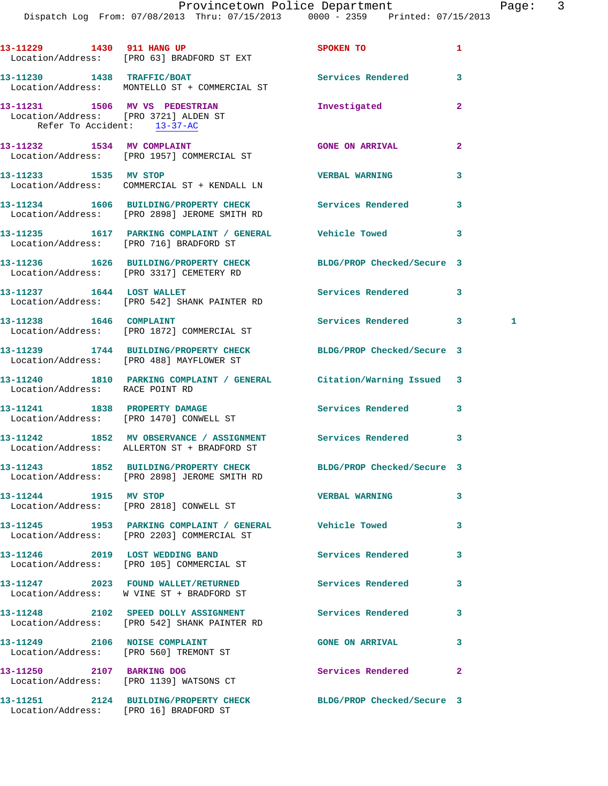Dispatch Log From: 07/08/2013 Thru: 07/15/2013 0000 - 2359 Printed: 07/15/2013

|                                 | 13-11229 1430 911 HANG UP<br>Location/Address: [PRO 63] BRADFORD ST EXT                                          | SPOKEN TO                  | 1                 |
|---------------------------------|------------------------------------------------------------------------------------------------------------------|----------------------------|-------------------|
|                                 | 13-11230 1438 TRAFFIC/BOAT<br>Location/Address: MONTELLO ST + COMMERCIAL ST                                      | Services Rendered          | 3                 |
|                                 | 13-11231 1506 MV VS PEDESTRIAN<br>Location/Address: [PRO 3721] ALDEN ST<br>Refer To Accident: 13-37-AC           | Investigated               | $\mathbf{2}$      |
|                                 | 13-11232 1534 MV COMPLAINT<br>Location/Address: [PRO 1957] COMMERCIAL ST                                         | <b>GONE ON ARRIVAL</b>     | 2                 |
| 13-11233 1535 MV STOP           | Location/Address: COMMERCIAL ST + KENDALL LN                                                                     | <b>VERBAL WARNING</b>      | 3                 |
|                                 | 13-11234 1606 BUILDING/PROPERTY CHECK<br>Location/Address: [PRO 2898] JEROME SMITH RD                            | Services Rendered          | 3                 |
|                                 | 13-11235 1617 PARKING COMPLAINT / GENERAL Vehicle Towed<br>Location/Address: [PRO 716] BRADFORD ST               |                            | 3                 |
|                                 | 13-11236 1626 BUILDING/PROPERTY CHECK<br>Location/Address: [PRO 3317] CEMETERY RD                                | BLDG/PROP Checked/Secure 3 |                   |
|                                 | 13-11237 1644 LOST WALLET<br>Location/Address: [PRO 542] SHANK PAINTER RD                                        | Services Rendered          | 3                 |
| 13-11238  1646  COMPLAINT       | Location/Address: [PRO 1872] COMMERCIAL ST                                                                       | Services Rendered          | $\mathbf{3}$<br>1 |
|                                 | 13-11239 1744 BUILDING/PROPERTY CHECK<br>Location/Address: [PRO 488] MAYFLOWER ST                                | BLDG/PROP Checked/Secure 3 |                   |
| Location/Address: RACE POINT RD | 13-11240 1810 PARKING COMPLAINT / GENERAL Citation/Warning Issued 3                                              |                            |                   |
|                                 | 13-11241 1838 PROPERTY DAMAGE<br>Location/Address: [PRO 1470] CONWELL ST                                         | Services Rendered          | 3                 |
|                                 | 13-11242 1852 MV OBSERVANCE / ASSIGNMENT<br>Location/Address: ALLERTON ST + BRADFORD ST                          | Services Rendered          | 3                 |
|                                 | 13-11243 1852 BUILDING/PROPERTY CHECK BLDG/PROP Checked/Secure 3<br>Location/Address: [PRO 2898] JEROME SMITH RD |                            |                   |
| 13-11244 1915 MV STOP           | Location/Address: [PRO 2818] CONWELL ST                                                                          | <b>VERBAL WARNING</b>      | 3                 |
|                                 | 13-11245 1953 PARKING COMPLAINT / GENERAL Vehicle Towed<br>Location/Address: [PRO 2203] COMMERCIAL ST            |                            | 3                 |
|                                 | 13-11246 2019 LOST WEDDING BAND<br>Location/Address: [PRO 105] COMMERCIAL ST                                     | Services Rendered          | 3                 |
|                                 | 13-11247 2023 FOUND WALLET/RETURNED<br>Location/Address: W VINE ST + BRADFORD ST                                 | <b>Services Rendered</b>   | 3                 |
|                                 | 13-11248 2102 SPEED DOLLY ASSIGNMENT<br>Location/Address: [PRO 542] SHANK PAINTER RD                             | Services Rendered          | 3                 |
|                                 | 13-11249 2106 NOISE COMPLAINT<br>Location/Address: [PRO 560] TREMONT ST                                          | <b>GONE ON ARRIVAL</b>     | 3                 |
| 13-11250 2107 BARKING DOG       | Location/Address: [PRO 1139] WATSONS CT                                                                          | Services Rendered          | 2                 |
|                                 | 13-11251 2124 BUILDING/PROPERTY CHECK BLDG/PROP Checked/Secure 3<br>Location/Address: [PRO 16] BRADFORD ST       |                            |                   |
|                                 |                                                                                                                  |                            |                   |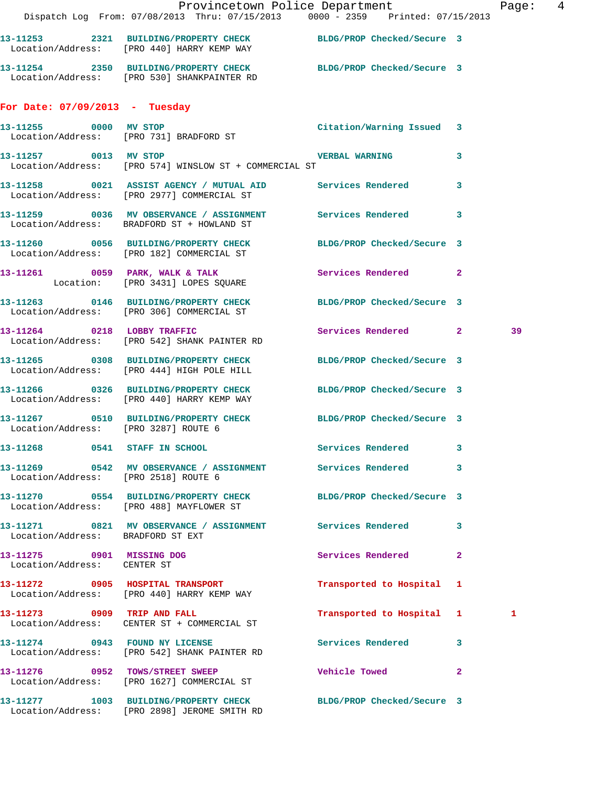|                                                          | Dispatch Log From: 07/08/2013 Thru: 07/15/2013 0000 - 2359 Printed: 07/15/2013                                   | Provincetown Police Department Page: 4 |              |    |  |
|----------------------------------------------------------|------------------------------------------------------------------------------------------------------------------|----------------------------------------|--------------|----|--|
|                                                          | 13-11253 2321 BUILDING/PROPERTY CHECK BLDG/PROP Checked/Secure 3<br>Location/Address: [PRO 440] HARRY KEMP WAY   |                                        |              |    |  |
|                                                          | 13-11254 2350 BUILDING/PROPERTY CHECK BLDG/PROP Checked/Secure 3<br>Location/Address: [PRO 530] SHANKPAINTER RD  |                                        |              |    |  |
| For Date: $07/09/2013$ - Tuesday                         |                                                                                                                  |                                        |              |    |  |
|                                                          | 13-11255 0000 MV STOP<br>Location/Address: [PRO 731] BRADFORD ST                                                 | Citation/Warning Issued 3              |              |    |  |
|                                                          | 13-11257 0013 MV STOP 0013 WESTON VERBAL WARNING 3<br>Location/Address: [PRO 574] WINSLOW ST + COMMERCIAL ST     |                                        |              |    |  |
|                                                          | 13-11258 0021 ASSIST AGENCY / MUTUAL AID Services Rendered 3<br>Location/Address: [PRO 2977] COMMERCIAL ST       |                                        |              |    |  |
|                                                          | 13-11259 0036 MV OBSERVANCE / ASSIGNMENT Services Rendered 3<br>Location/Address: BRADFORD ST + HOWLAND ST       |                                        |              |    |  |
|                                                          | 13-11260 0056 BUILDING/PROPERTY CHECK BLDG/PROP Checked/Secure 3<br>Location/Address: [PRO 182] COMMERCIAL ST    |                                        |              |    |  |
|                                                          | 13-11261 0059 PARK, WALK & TALK<br>Location: [PRO 3431] LOPES SQUARE                                             | Services Rendered 2                    |              |    |  |
|                                                          | 13-11263 0146 BUILDING/PROPERTY CHECK BLDG/PROP Checked/Secure 3<br>Location/Address: [PRO 306] COMMERCIAL ST    |                                        |              |    |  |
|                                                          | 13-11264 0218 LOBBY TRAFFIC<br>Location/Address: [PRO 542] SHANK PAINTER RD                                      | Services Rendered 2                    |              | 39 |  |
|                                                          | 13-11265 0308 BUILDING/PROPERTY CHECK BLDG/PROP Checked/Secure 3<br>Location/Address: [PRO 444] HIGH POLE HILL   |                                        |              |    |  |
|                                                          | 13-11266 0326 BUILDING/PROPERTY CHECK BLDG/PROP Checked/Secure 3<br>Location/Address: [PRO 440] HARRY KEMP WAY   |                                        |              |    |  |
| Location/Address: [PRO 3287] ROUTE 6                     | 13-11267 0510 BUILDING/PROPERTY CHECK BLDG/PROP Checked/Secure 3                                                 |                                        |              |    |  |
| 13-11268 0541 STAFF IN SCHOOL                            |                                                                                                                  | Services Rendered 3                    |              |    |  |
| Location/Address: [PRO 2518] ROUTE 6                     | 13-11269 0542 MV OBSERVANCE / ASSIGNMENT Services Rendered 3                                                     |                                        |              |    |  |
|                                                          | 13-11270 0554 BUILDING/PROPERTY CHECK BLDG/PROP Checked/Secure 3<br>Location/Address: [PRO 488] MAYFLOWER ST     |                                        |              |    |  |
| Location/Address: BRADFORD ST EXT                        | 13-11271 0821 MV OBSERVANCE / ASSIGNMENT Services Rendered 3                                                     |                                        |              |    |  |
| 13-11275 0901 MISSING DOG<br>Location/Address: CENTER ST |                                                                                                                  | Services Rendered                      | $\mathbf{2}$ |    |  |
|                                                          | 13-11272 0905 HOSPITAL TRANSPORT<br>Location/Address: [PRO 440] HARRY KEMP WAY                                   | Transported to Hospital 1              |              |    |  |
|                                                          | 13-11273 0909 TRIP AND FALL<br>Location/Address: CENTER ST + COMMERCIAL ST                                       | Transported to Hospital 1              |              | 1  |  |
| 13-11274 0943 FOUND NY LICENSE                           | Location/Address: [PRO 542] SHANK PAINTER RD                                                                     | Services Rendered 3                    |              |    |  |
|                                                          | 13-11276 0952 TOWS/STREET SWEEP<br>Location/Address: [PRO 1627] COMMERCIAL ST                                    | <b>Vehicle Towed</b>                   | $\mathbf{2}$ |    |  |
|                                                          | 13-11277 1003 BUILDING/PROPERTY CHECK BLDG/PROP Checked/Secure 3<br>Location/Address: [PRO 2898] JEROME SMITH RD |                                        |              |    |  |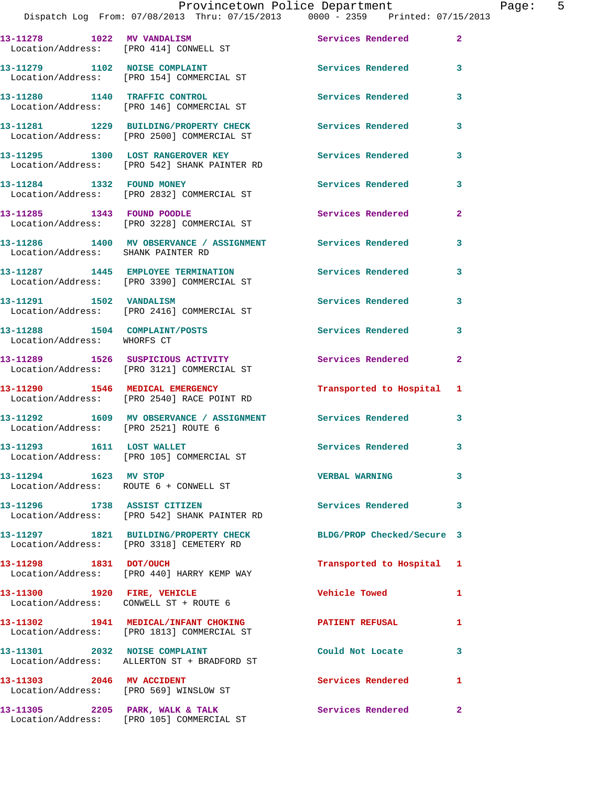| 13-11278 1022 MV VANDALISM<br>Location/Address: [PRO 414] CONWELL ST |                                                                                     | Services Rendered          | $\mathbf{2}$            |
|----------------------------------------------------------------------|-------------------------------------------------------------------------------------|----------------------------|-------------------------|
| 13-11279 1102 NOISE COMPLAINT                                        | Location/Address: [PRO 154] COMMERCIAL ST                                           | Services Rendered          | 3                       |
|                                                                      | 13-11280 1140 TRAFFIC CONTROL<br>Location/Address: [PRO 146] COMMERCIAL ST          | <b>Services Rendered</b>   | 3                       |
|                                                                      | 13-11281 1229 BUILDING/PROPERTY CHECK<br>Location/Address: [PRO 2500] COMMERCIAL ST | <b>Services Rendered</b>   | 3                       |
|                                                                      | 13-11295 1300 LOST RANGEROVER KEY<br>Location/Address: [PRO 542] SHANK PAINTER RD   | <b>Services Rendered</b>   | 3                       |
| 13-11284 1332 FOUND MONEY                                            | Location/Address: [PRO 2832] COMMERCIAL ST                                          | Services Rendered          | 3                       |
| 13-11285 1343 FOUND POODLE                                           | Location/Address: [PRO 3228] COMMERCIAL ST                                          | Services Rendered          | $\overline{2}$          |
| Location/Address: SHANK PAINTER RD                                   | 13-11286 1400 MV OBSERVANCE / ASSIGNMENT                                            | Services Rendered          | 3                       |
|                                                                      | 13-11287 1445 EMPLOYEE TERMINATION<br>Location/Address: [PRO 3390] COMMERCIAL ST    | Services Rendered          | 3                       |
| 13-11291    1502    VANDALISM                                        | Location/Address: [PRO 2416] COMMERCIAL ST                                          | Services Rendered          | 3                       |
| 13-11288 1504 COMPLAINT/POSTS<br>Location/Address: WHORFS CT         |                                                                                     | Services Rendered          | 3                       |
|                                                                      | 13-11289 1526 SUSPICIOUS ACTIVITY<br>Location/Address: [PRO 3121] COMMERCIAL ST     | Services Rendered          | $\mathbf{2}$            |
|                                                                      | 13-11290 1546 MEDICAL EMERGENCY<br>Location/Address: [PRO 2540] RACE POINT RD       | Transported to Hospital 1  |                         |
| Location/Address: [PRO 2521] ROUTE 6                                 | 13-11292 1609 MV OBSERVANCE / ASSIGNMENT                                            | Services Rendered          | 3                       |
| 13-11293 1611 LOST WALLET                                            | Location/Address: [PRO 105] COMMERCIAL ST                                           | Services Rendered          | $\overline{\mathbf{3}}$ |
| 13-11294 1623 MV STOP                                                | Location/Address: ROUTE 6 + CONWELL ST                                              | <b>VERBAL WARNING</b>      | 3                       |
| 13-11296 1738 ASSIST CITIZEN                                         | Location/Address: [PRO 542] SHANK PAINTER RD                                        | Services Rendered 3        |                         |
|                                                                      | 13-11297 1821 BUILDING/PROPERTY CHECK<br>Location/Address: [PRO 3318] CEMETERY RD   | BLDG/PROP Checked/Secure 3 |                         |
| 13-11298 1831 DOT/OUCH                                               | Location/Address: [PRO 440] HARRY KEMP WAY                                          | Transported to Hospital 1  |                         |
| 13-11300 1920 FIRE, VEHICLE                                          | Location/Address: CONWELL ST + ROUTE 6                                              | <b>Vehicle Towed</b>       | $\mathbf{1}$            |
|                                                                      | 13-11302 1941 MEDICAL/INFANT CHOKING<br>Location/Address: [PRO 1813] COMMERCIAL ST  | PATIENT REFUSAL            | $\mathbf{1}$            |
|                                                                      | 13-11301 2032 NOISE COMPLAINT<br>Location/Address: ALLERTON ST + BRADFORD ST        | Could Not Locate           | 3                       |
| 13-11303 2046 MV ACCIDENT                                            |                                                                                     | Services Rendered 1        |                         |
|                                                                      | Location/Address: [PRO 569] WINSLOW ST                                              |                            |                         |

Location/Address: [PRO 105] COMMERCIAL ST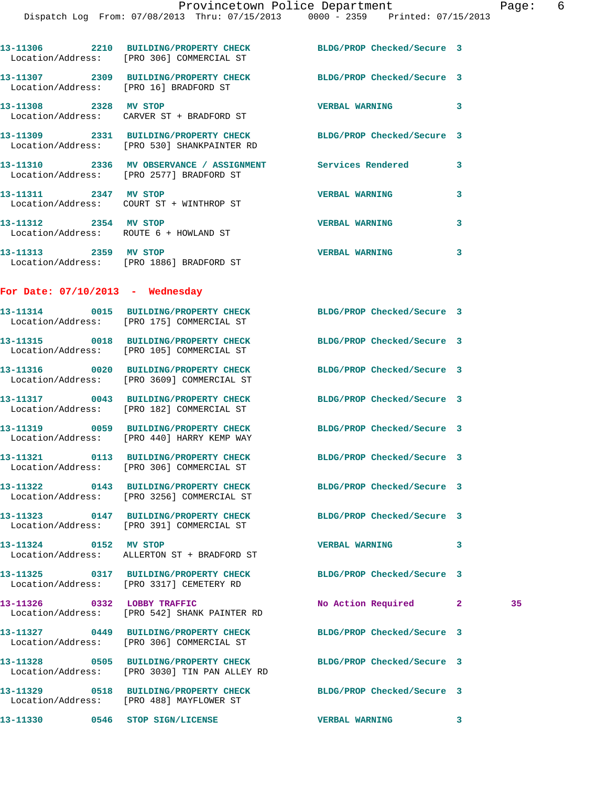|                       | 13-11306 2210 BUILDING/PROPERTY CHECK<br>Location/Address: [PRO 306] COMMERCIAL ST                            | BLDG/PROP Checked/Secure 3 |   |    |
|-----------------------|---------------------------------------------------------------------------------------------------------------|----------------------------|---|----|
|                       | 13-11307 2309 BUILDING/PROPERTY CHECK<br>Location/Address: [PRO 16] BRADFORD ST                               | BLDG/PROP Checked/Secure 3 |   |    |
|                       | 13-11308 2328 MV STOP<br>Location/Address: CARVER ST + BRADFORD ST                                            | <b>VERBAL WARNING</b>      | 3 |    |
|                       | 13-11309 2331 BUILDING/PROPERTY CHECK<br>Location/Address: [PRO 530] SHANKPAINTER RD                          | BLDG/PROP Checked/Secure 3 |   |    |
|                       | 13-11310 2336 MV OBSERVANCE / ASSIGNMENT Services Rendered<br>Location/Address: [PRO 2577] BRADFORD ST        |                            | 3 |    |
| 13-11311 2347 MV STOP | Location/Address: COURT ST + WINTHROP ST                                                                      | <b>VERBAL WARNING</b>      | 3 |    |
|                       | 13-11312 2354 MV STOP<br>Location/Address: ROUTE 6 + HOWLAND ST                                               | <b>VERBAL WARNING</b>      | 3 |    |
| 13-11313 2359 MV STOP | Location/Address: [PRO 1886] BRADFORD ST                                                                      | <b>VERBAL WARNING</b>      | 3 |    |
|                       | For Date: $07/10/2013$ - Wednesday                                                                            |                            |   |    |
|                       | 13-11314 0015 BUILDING/PROPERTY CHECK BLDG/PROP Checked/Secure 3<br>Location/Address: [PRO 175] COMMERCIAL ST |                            |   |    |
|                       | 13-11315 0018 BUILDING/PROPERTY CHECK<br>Location/Address: [PRO 105] COMMERCIAL ST                            | BLDG/PROP Checked/Secure 3 |   |    |
|                       | 13-11316 0020 BUILDING/PROPERTY CHECK<br>Location/Address: [PRO 3609] COMMERCIAL ST                           | BLDG/PROP Checked/Secure 3 |   |    |
|                       | 13-11317 0043 BUILDING/PROPERTY CHECK<br>Location/Address: [PRO 182] COMMERCIAL ST                            | BLDG/PROP Checked/Secure 3 |   |    |
|                       | 13-11319 0059 BUILDING/PROPERTY CHECK<br>Location/Address: [PRO 440] HARRY KEMP WAY                           | BLDG/PROP Checked/Secure 3 |   |    |
|                       | 13-11321 0113 BUILDING/PROPERTY CHECK<br>Location/Address: [PRO 306] COMMERCIAL ST                            | BLDG/PROP Checked/Secure 3 |   |    |
|                       | 13-11322 0143 BUILDING/PROPERTY CHECK<br>Location/Address: [PRO 3256] COMMERCIAL ST                           | BLDG/PROP Checked/Secure 3 |   |    |
|                       | 13-11323 0147 BUILDING/PROPERTY CHECK BLDG/PROP Checked/Secure 3<br>Location/Address: [PRO 391] COMMERCIAL ST |                            |   |    |
| 13-11324 0152 MV STOP | Location/Address: ALLERTON ST + BRADFORD ST                                                                   | <b>VERBAL WARNING</b>      | 3 |    |
|                       | 13-11325 0317 BUILDING/PROPERTY CHECK BLDG/PROP Checked/Secure 3<br>Location/Address: [PRO 3317] CEMETERY RD  |                            |   |    |
|                       | 13-11326 0332 LOBBY TRAFFIC<br>Location/Address: [PRO 542] SHANK PAINTER RD                                   | No Action Required 2       |   | 35 |
|                       | 13-11327 0449 BUILDING/PROPERTY CHECK<br>Location/Address: [PRO 306] COMMERCIAL ST                            | BLDG/PROP Checked/Secure 3 |   |    |
|                       | 13-11328 0505 BUILDING/PROPERTY CHECK<br>Location/Address: [PRO 3030] TIN PAN ALLEY RD                        | BLDG/PROP Checked/Secure 3 |   |    |
|                       | 13-11329 0518 BUILDING/PROPERTY CHECK<br>Location/Address: [PRO 488] MAYFLOWER ST                             | BLDG/PROP Checked/Secure 3 |   |    |
|                       | 13-11330 0546 STOP SIGN/LICENSE                                                                               | <b>VERBAL WARNING</b>      | 3 |    |
|                       |                                                                                                               |                            |   |    |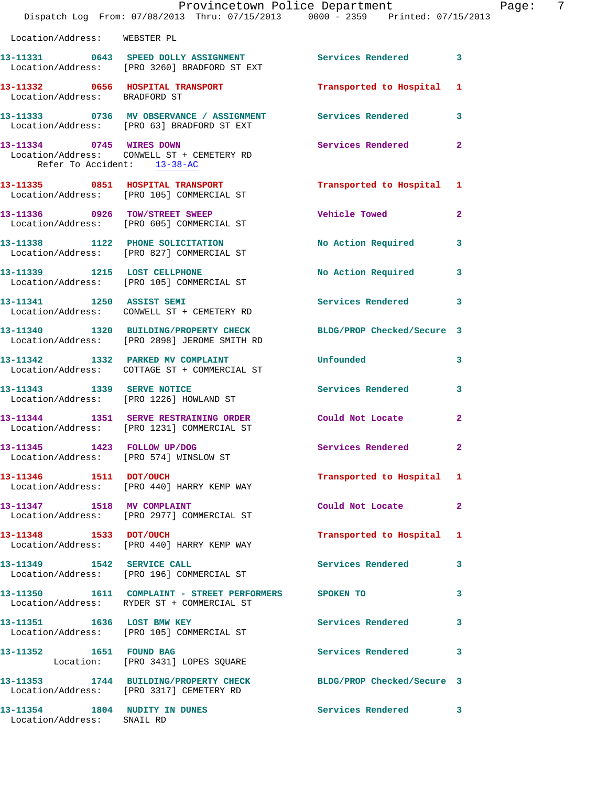|                                                             | Provincetown Police Department<br>Dispatch Log From: 07/08/2013 Thru: 07/15/2013 0000 - 2359 Printed: 07/15/2013   |                            | Ρa             |
|-------------------------------------------------------------|--------------------------------------------------------------------------------------------------------------------|----------------------------|----------------|
| Location/Address: WEBSTER PL                                |                                                                                                                    |                            |                |
|                                                             | 13-11331 0643 SPEED DOLLY ASSIGNMENT Services Rendered 3<br>Location/Address: [PRO 3260] BRADFORD ST EXT           |                            |                |
| Location/Address: BRADFORD ST                               | 13-11332 0656 HOSPITAL TRANSPORT                                                                                   | Transported to Hospital 1  |                |
|                                                             | 13-11333 0736 MV OBSERVANCE / ASSIGNMENT Services Rendered<br>Location/Address: [PRO 63] BRADFORD ST EXT           |                            | 3              |
| Refer To Accident: 13-38-AC                                 | 13-11334 0745 WIRES DOWN<br>Location/Address: CONWELL ST + CEMETERY RD                                             | Services Rendered          | $\overline{2}$ |
|                                                             | 13-11335 0851 HOSPITAL TRANSPORT <b>120 Transported</b> to Hospital 1<br>Location/Address: [PRO 105] COMMERCIAL ST |                            |                |
|                                                             | 13-11336 0926 TOW/STREET SWEEP<br>Location/Address: [PRO 605] COMMERCIAL ST                                        | <b>Vehicle Towed</b>       | $\overline{a}$ |
|                                                             | 13-11338 1122 PHONE SOLICITATION No Action Required 3<br>Location/Address: [PRO 827] COMMERCIAL ST                 |                            |                |
|                                                             | 13-11339 1215 LOST CELLPHONE<br>Location/Address: [PRO 105] COMMERCIAL ST                                          | No Action Required         | 3              |
|                                                             | 13-11341 1250 ASSIST SEMI<br>Location/Address: CONWELL ST + CEMETERY RD                                            | Services Rendered 3        |                |
|                                                             | 13-11340 1320 BUILDING/PROPERTY CHECK BLDG/PROP Checked/Secure 3<br>Location/Address: [PRO 2898] JEROME SMITH RD   |                            |                |
|                                                             | 13-11342 1332 PARKED MV COMPLAINT<br>Location/Address: COTTAGE ST + COMMERCIAL ST                                  | Unfounded                  | 3              |
|                                                             | 13-11343    1339    SERVE NOTICE<br>Location/Address: [PRO 1226] HOWLAND ST                                        | Services Rendered 3        |                |
|                                                             | 13-11344 1351 SERVE RESTRAINING ORDER Could Not Locate<br>Location/Address: [PRO 1231] COMMERCIAL ST               |                            | $\overline{a}$ |
|                                                             | 13-11345   1423   FOLLOW UP/DOG<br>Location/Address: [PRO 574] WINSLOW ST                                          | Services Rendered          | $\mathbf{2}$   |
| 13-11346 1511 DOT/OUCH                                      | Location/Address: [PRO 440] HARRY KEMP WAY                                                                         | Transported to Hospital 1  |                |
|                                                             | 13-11347 1518 MV COMPLAINT<br>Location/Address: [PRO 2977] COMMERCIAL ST                                           | Could Not Locate           | $\mathbf{2}$   |
| 13-11348 1533 DOT/OUCH                                      | Location/Address: [PRO 440] HARRY KEMP WAY                                                                         | Transported to Hospital    | 1              |
|                                                             | 13-11349 1542 SERVICE CALL<br>Location/Address: [PRO 196] COMMERCIAL ST                                            | Services Rendered          | 3              |
|                                                             | 13-11350 1611 COMPLAINT - STREET PERFORMERS SPOKEN TO<br>Location/Address: RYDER ST + COMMERCIAL ST                |                            | 3              |
|                                                             | 13-11351 1636 LOST BMW KEY<br>Location/Address: [PRO 105] COMMERCIAL ST                                            | Services Rendered          | 3              |
| 13-11352 1651 FOUND BAG                                     | Location: [PRO 3431] LOPES SQUARE                                                                                  | Services Rendered          | 3              |
|                                                             | 13-11353 1744 BUILDING/PROPERTY CHECK<br>Location/Address: [PRO 3317] CEMETERY RD                                  | BLDG/PROP Checked/Secure 3 |                |
| 13-11354 1804 NUDITY IN DUNES<br>Location/Address: SNAIL RD |                                                                                                                    | <b>Services Rendered</b>   | $\mathbf{3}$   |

age: 7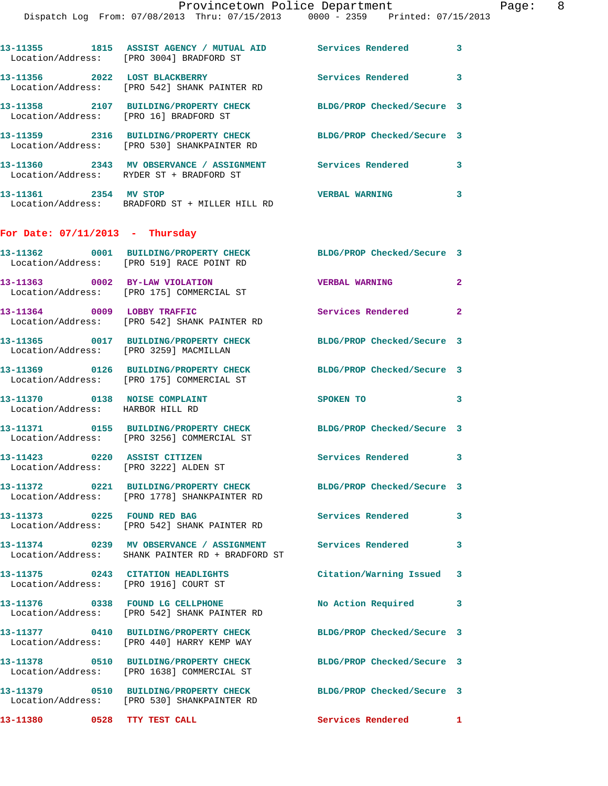Page: 8<br>2013

|                                                                   | Provincetown Police Department<br>Dispatch Log From: 07/08/2013 Thru: 07/15/2013 0000 - 2359 Printed: 07/15/2013 |                            |              |
|-------------------------------------------------------------------|------------------------------------------------------------------------------------------------------------------|----------------------------|--------------|
|                                                                   | 13-11355 1815 ASSIST AGENCY / MUTUAL AID Services Rendered<br>Location/Address: [PRO 3004] BRADFORD ST           |                            | 3            |
|                                                                   | 13-11356 2022 LOST BLACKBERRY<br>Location/Address: [PRO 542] SHANK PAINTER RD                                    | <b>Services Rendered</b>   | 3            |
|                                                                   | 13-11358 2107 BUILDING/PROPERTY CHECK BLDG/PROP Checked/Secure 3<br>Location/Address: [PRO 16] BRADFORD ST       |                            |              |
|                                                                   | 13-11359 2316 BUILDING/PROPERTY CHECK BLDG/PROP Checked/Secure 3<br>Location/Address: [PRO 530] SHANKPAINTER RD  |                            |              |
|                                                                   | 13-11360 2343 MV OBSERVANCE / ASSIGNMENT Services Rendered<br>Location/Address: RYDER ST + BRADFORD ST           |                            | 3            |
| 13-11361 2354 MV STOP                                             | Location/Address: BRADFORD ST + MILLER HILL RD                                                                   | <b>VERBAL WARNING</b>      | 3            |
| For Date: $07/11/2013$ - Thursday                                 |                                                                                                                  |                            |              |
|                                                                   | 13-11362 0001 BUILDING/PROPERTY CHECK BLDG/PROP Checked/Secure 3<br>Location/Address: [PRO 519] RACE POINT RD    |                            |              |
|                                                                   | 13-11363 0002 BY-LAW VIOLATION<br>Location/Address: [PRO 175] COMMERCIAL ST                                      | <b>VERBAL WARNING</b>      | $\mathbf{2}$ |
| 13-11364 0009 LOBBY TRAFFIC                                       | Location/Address: [PRO 542] SHANK PAINTER RD                                                                     | <b>Services Rendered</b>   | $\mathbf{2}$ |
|                                                                   | 13-11365 0017 BUILDING/PROPERTY CHECK<br>Location/Address: [PRO 3259] MACMILLAN                                  | BLDG/PROP Checked/Secure 3 |              |
|                                                                   | 13-11369 0126 BUILDING/PROPERTY CHECK BLDG/PROP Checked/Secure 3<br>Location/Address: [PRO 175] COMMERCIAL ST    |                            |              |
| 13-11370 0138 NOISE COMPLAINT<br>Location/Address: HARBOR HILL RD |                                                                                                                  | <b>SPOKEN TO</b>           | 3            |
|                                                                   | 13-11371 0155 BUILDING/PROPERTY CHECK BLDG/PROP Checked/Secure 3<br>Location/Address: [PRO 3256] COMMERCIAL ST   |                            |              |
|                                                                   | 13-11423 0220 ASSIST CITIZEN<br>Location/Address: [PRO 3222] ALDEN ST                                            | <b>Services Rendered</b>   | 3            |
|                                                                   | 13-11372 0221 BUILDING/PROPERTY CHECK BLDG/PROP Checked/Secure 3<br>Location/Address: [PRO 1778] SHANKPAINTER RD |                            |              |
|                                                                   | 13-11373 0225 FOUND RED BAG<br>Location/Address: [PRO 542] SHANK PAINTER RD                                      | Services Rendered          | 3            |
|                                                                   | 13-11374 0239 MV OBSERVANCE / ASSIGNMENT Services Rendered<br>Location/Address: SHANK PAINTER RD + BRADFORD ST   |                            | 3            |
|                                                                   | 13-11375 0243 CITATION HEADLIGHTS<br>Location/Address: [PRO 1916] COURT ST                                       | Citation/Warning Issued    | 3            |
|                                                                   | 13-11376 0338 FOUND LG CELLPHONE<br>Location/Address: [PRO 542] SHANK PAINTER RD                                 | <b>No Action Required</b>  | 3            |
|                                                                   | 13-11377 0410 BUILDING/PROPERTY CHECK<br>Location/Address: [PRO 440] HARRY KEMP WAY                              | BLDG/PROP Checked/Secure 3 |              |
|                                                                   | 13-11378 0510 BUILDING/PROPERTY CHECK<br>Location/Address: [PRO 1638] COMMERCIAL ST                              | BLDG/PROP Checked/Secure 3 |              |
|                                                                   |                                                                                                                  | BLDG/PROP Checked/Secure 3 |              |

Location/Address: [PRO 530] SHANKPAINTER RD

13-11380 **0528** TTY TEST CALL **13-11380** Services Rendered 1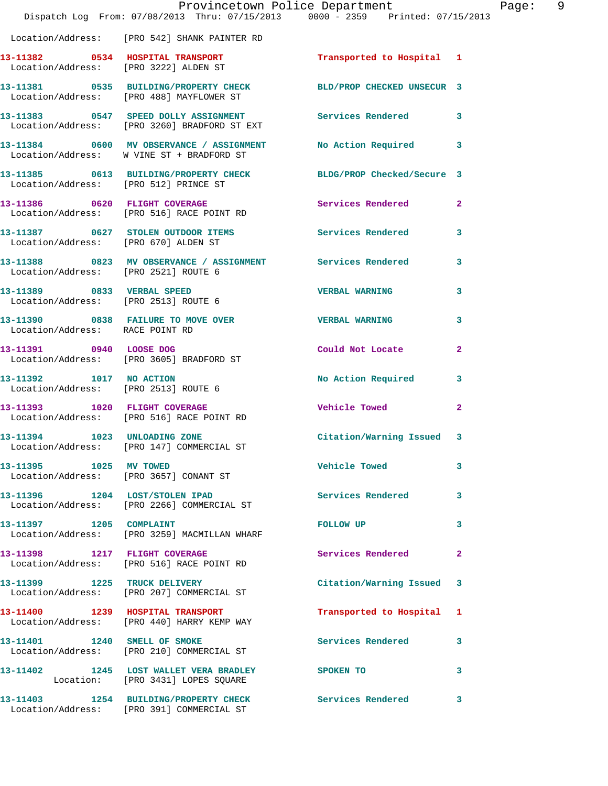|                                                                           | Provincetown Police Department<br>Dispatch Log From: 07/08/2013 Thru: 07/15/2013 0000 - 2359 Printed: 07/15/2013 |                            |              |
|---------------------------------------------------------------------------|------------------------------------------------------------------------------------------------------------------|----------------------------|--------------|
|                                                                           | Location/Address: [PRO 542] SHANK PAINTER RD                                                                     |                            |              |
| 13-11382 0534 HOSPITAL TRANSPORT<br>Location/Address: [PRO 3222] ALDEN ST |                                                                                                                  | Transported to Hospital 1  |              |
|                                                                           | 13-11381 0535 BUILDING/PROPERTY CHECK BLD/PROP CHECKED UNSECUR 3<br>Location/Address: [PRO 488] MAYFLOWER ST     |                            |              |
|                                                                           | 13-11383 0547 SPEED DOLLY ASSIGNMENT<br>Location/Address: [PRO 3260] BRADFORD ST EXT                             | Services Rendered          | 3            |
|                                                                           | 13-11384 0600 MV OBSERVANCE / ASSIGNMENT No Action Required<br>Location/Address: W VINE ST + BRADFORD ST         |                            | 3            |
| Location/Address: [PRO 512] PRINCE ST                                     | 13-11385 0613 BUILDING/PROPERTY CHECK                                                                            | BLDG/PROP Checked/Secure 3 |              |
|                                                                           | 13-11386 0620 FLIGHT COVERAGE<br>Location/Address: [PRO 516] RACE POINT RD                                       | Services Rendered          | 2            |
| Location/Address: [PRO 670] ALDEN ST                                      | 13-11387 0627 STOLEN OUTDOOR ITEMS                                                                               | <b>Services Rendered</b>   | 3            |
| Location/Address: [PRO 2521] ROUTE 6                                      |                                                                                                                  |                            | 3            |
| 13-11389 0833 VERBAL SPEED                                                | Location/Address: [PRO 2513] ROUTE 6                                                                             | <b>VERBAL WARNING</b>      | 3            |
| Location/Address: RACE POINT RD                                           | 13-11390 0838 FAILURE TO MOVE OVER                                                                               | <b>VERBAL WARNING</b>      | 3            |
| 13-11391 0940 LOOSE DOG                                                   | Location/Address: [PRO 3605] BRADFORD ST                                                                         | Could Not Locate           | 2            |
| 13-11392 1017 NO ACTION<br>Location/Address: [PRO 2513] ROUTE 6           |                                                                                                                  | No Action Required         | 3            |
|                                                                           | 13-11393 1020 FLIGHT COVERAGE<br>Location/Address: [PRO 516] RACE POINT RD                                       | Vehicle Towed              | $\mathbf{2}$ |
| 13-11394 1023 UNLOADING ZONE                                              | Location/Address: [PRO 147] COMMERCIAL ST                                                                        | Citation/Warning Issued    | 3            |
| 13-11395 1025 MV TOWED                                                    | Location/Address: [PRO 3657] CONANT ST                                                                           | <b>Vehicle Towed</b>       | 3            |
|                                                                           | 13-11396 1204 LOST/STOLEN IPAD<br>Location/Address: [PRO 2266] COMMERCIAL ST                                     | Services Rendered          | 3            |
| 13-11397 1205 COMPLAINT                                                   | Location/Address: [PRO 3259] MACMILLAN WHARF                                                                     | <b>FOLLOW UP</b>           | 3            |
|                                                                           | 13-11398 1217 FLIGHT COVERAGE<br>Location/Address: [PRO 516] RACE POINT RD                                       | Services Rendered          | 2            |
|                                                                           | 13-11399 1225 TRUCK DELIVERY<br>Location/Address: [PRO 207] COMMERCIAL ST                                        | Citation/Warning Issued    | 3            |
|                                                                           | 13-11400 1239 HOSPITAL TRANSPORT<br>Location/Address: [PRO 440] HARRY KEMP WAY                                   | Transported to Hospital    | 1            |
| 13-11401 1240 SMELL OF SMOKE                                              | Location/Address: [PRO 210] COMMERCIAL ST                                                                        | Services Rendered          | 3            |
|                                                                           | 13-11402 1245 LOST WALLET VERA BRADLEY<br>Location: [PRO 3431] LOPES SQUARE                                      | <b>SPOKEN TO</b>           | 3            |
|                                                                           | 13-11403 1254 BUILDING/PROPERTY CHECK                                                                            | Services Rendered          | 3            |

Location/Address: [PRO 391] COMMERCIAL ST

Page: 9<br>3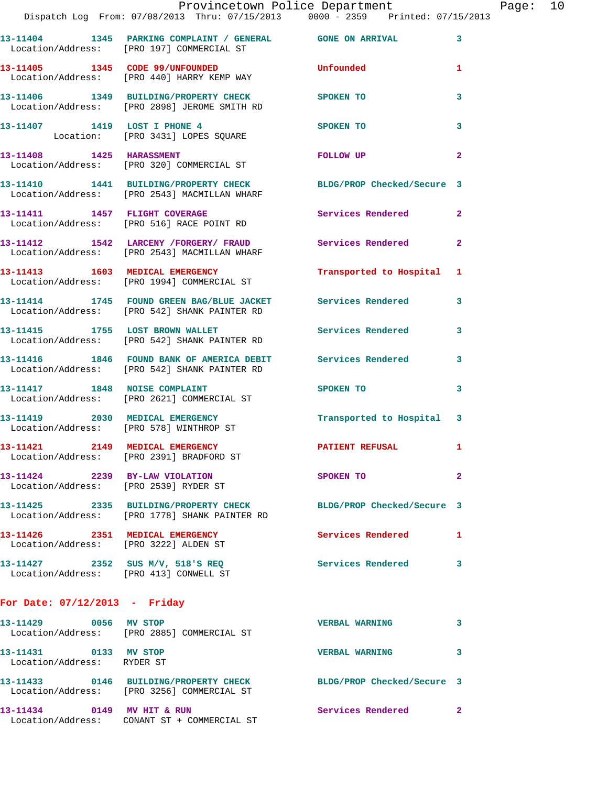|                                                                          | Provincetown Police Department<br>Dispatch Log From: 07/08/2013 Thru: 07/15/2013 0000 - 2359 Printed: 07/15/2013  |                            |                |
|--------------------------------------------------------------------------|-------------------------------------------------------------------------------------------------------------------|----------------------------|----------------|
|                                                                          | 13-11404 1345 PARKING COMPLAINT / GENERAL GONE ON ARRIVAL<br>Location/Address: [PRO 197] COMMERCIAL ST            |                            | 3              |
|                                                                          | 13-11405 1345 CODE 99/UNFOUNDED<br>Location/Address: [PRO 440] HARRY KEMP WAY                                     | Unfounded                  | 1              |
|                                                                          | 13-11406 1349 BUILDING/PROPERTY CHECK SPOKEN TO<br>Location/Address: [PRO 2898] JEROME SMITH RD                   |                            | 3              |
|                                                                          | 13-11407 1419 LOST I PHONE 4<br>Location: [PRO 3431] LOPES SQUARE                                                 | SPOKEN TO                  | 3              |
|                                                                          | 13-11408    1425    HARASSMENT<br>Location/Address: [PRO 320] COMMERCIAL ST                                       | FOLLOW UP                  | $\mathbf{2}$   |
|                                                                          | 13-11410 1441 BUILDING/PROPERTY CHECK BLDG/PROP Checked/Secure 3<br>Location/Address: [PRO 2543] MACMILLAN WHARF  |                            |                |
|                                                                          | 13-11411 1457 FLIGHT COVERAGE<br>Location/Address: [PRO 516] RACE POINT RD                                        | <b>Services Rendered</b>   | $\overline{2}$ |
|                                                                          | 13-11412 1542 LARCENY /FORGERY/ FRAUD Services Rendered<br>Location/Address: [PRO 2543] MACMILLAN WHARF           |                            | $\overline{2}$ |
|                                                                          | 13-11413 1603 MEDICAL EMERGENCY<br>Location/Address: [PRO 1994] COMMERCIAL ST                                     | Transported to Hospital    | 1              |
|                                                                          | 13-11414 1745 FOUND GREEN BAG/BLUE JACKET Services Rendered<br>Location/Address: [PRO 542] SHANK PAINTER RD       |                            | 3              |
|                                                                          | 13-11415 1755 LOST BROWN WALLET<br>Location/Address: [PRO 542] SHANK PAINTER RD                                   | <b>Services Rendered</b>   | 3              |
|                                                                          | 13-11416 1846 FOUND BANK OF AMERICA DEBIT Services Rendered<br>Location/Address: [PRO 542] SHANK PAINTER RD       |                            | 3              |
|                                                                          | 13-11417 1848 NOISE COMPLAINT<br>Location/Address: [PRO 2621] COMMERCIAL ST                                       | <b>SPOKEN TO</b>           | 3              |
|                                                                          | 13-11419 2030 MEDICAL EMERGENCY<br>Location/Address: [PRO 578] WINTHROP ST                                        | Transported to Hospital    | 3              |
|                                                                          | 13-11421 2149 MEDICAL EMERGENCY<br>Location/Address: [PRO 2391] BRADFORD ST                                       | <b>PATIENT REFUSAL</b>     | 1              |
| 13-11424 2239 BY-LAW VIOLATION<br>Location/Address: [PRO 2539] RYDER ST  |                                                                                                                   | SPOKEN TO                  | $\mathbf{2}$   |
|                                                                          | 13-11425 2335 BUILDING/PROPERTY CHECK BLDG/PROP Checked/Secure 3<br>Location/Address: [PRO 1778] SHANK PAINTER RD |                            |                |
| 13-11426 2351 MEDICAL EMERGENCY<br>Location/Address: [PRO 3222] ALDEN ST |                                                                                                                   | Services Rendered          | 1              |
|                                                                          | 13-11427 2352 SUS M/V, 518'S REQ<br>Location/Address: [PRO 413] CONWELL ST                                        | <b>Services Rendered</b>   | 3              |
| For Date: $07/12/2013$ - Friday                                          |                                                                                                                   |                            |                |
| 13-11429 0056 MV STOP                                                    | Location/Address: [PRO 2885] COMMERCIAL ST                                                                        | <b>VERBAL WARNING</b>      | 3              |
| 13-11431 0133 MV STOP<br>Location/Address: RYDER ST                      |                                                                                                                   | <b>VERBAL WARNING</b>      | 3              |
|                                                                          | 13-11433 0146 BUILDING/PROPERTY CHECK<br>Location/Address: [PRO 3256] COMMERCIAL ST                               | BLDG/PROP Checked/Secure 3 |                |

**13-11434 0149 MV HIT & RUN Services Rendered 2**  Location/Address: CONANT ST + COMMERCIAL ST

Page: 10<br>13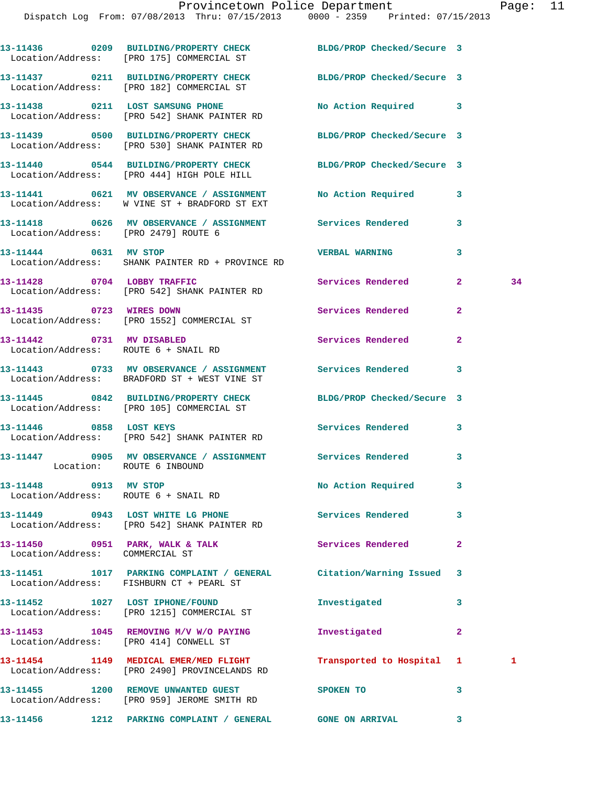|                                      | 13-11436 0209 BUILDING/PROPERTY CHECK BLDG/PROP Checked/Secure 3<br>Location/Address: [PRO 175] COMMERCIAL ST                                            |                          |                |    |
|--------------------------------------|----------------------------------------------------------------------------------------------------------------------------------------------------------|--------------------------|----------------|----|
|                                      | 13-11437 0211 BUILDING/PROPERTY CHECK BLDG/PROP Checked/Secure 3<br>Location/Address: [PRO 182] COMMERCIAL ST                                            |                          |                |    |
|                                      | 13-11438 0211 LOST SAMSUNG PHONE<br>Location/Address: [PRO 542] SHANK PAINTER RD                                                                         | No Action Required 3     |                |    |
|                                      | 13-11439 0500 BUILDING/PROPERTY CHECK BLDG/PROP Checked/Secure 3<br>Location/Address: [PRO 530] SHANK PAINTER RD                                         |                          |                |    |
|                                      | 13-11440 0544 BUILDING/PROPERTY CHECK BLDG/PROP Checked/Secure 3<br>Location/Address: [PRO 444] HIGH POLE HILL                                           |                          |                |    |
|                                      | 13-11441 0621 MV OBSERVANCE / ASSIGNMENT No Action Required 3<br>Location/Address: W VINE ST + BRADFORD ST EXT                                           |                          |                |    |
| Location/Address: [PRO 2479] ROUTE 6 | 13-11418 0626 MV OBSERVANCE / ASSIGNMENT Services Rendered                                                                                               |                          | $\mathbf{3}$   |    |
| 13-11444 0631 MV STOP                | Location/Address: SHANK PAINTER RD + PROVINCE RD                                                                                                         | <b>VERBAL WARNING</b>    | 3              |    |
|                                      | 13-11428 0704 LOBBY TRAFFIC Services Rendered<br>Location/Address: [PRO 542] SHANK PAINTER RD                                                            |                          | $\mathbf{2}$   | 34 |
|                                      | 13-11435 0723 WIRES DOWN<br>Location/Address: [PRO 1552] COMMERCIAL ST                                                                                   | <b>Services Rendered</b> | $\overline{2}$ |    |
| Location/Address: ROUTE 6 + SNAIL RD | 13-11442 0731 MV DISABLED                                                                                                                                | Services Rendered        | $\overline{2}$ |    |
|                                      | 13-11443 0733 MV OBSERVANCE / ASSIGNMENT Services Rendered 3<br>Location/Address: BRADFORD ST + WEST VINE ST                                             |                          |                |    |
|                                      | 13-11445 0842 BUILDING/PROPERTY CHECK BLDG/PROP Checked/Secure 3<br>Location/Address: [PRO 105] COMMERCIAL ST                                            |                          |                |    |
| 13-11446 0858 LOST KEYS              | Location/Address: [PRO 542] SHANK PAINTER RD                                                                                                             | Services Rendered 3      |                |    |
| Location: ROUTE 6 INBOUND            | 13-11447 0905 MV OBSERVANCE / ASSIGNMENT Services Rendered 3                                                                                             |                          |                |    |
| 13-11448 0913 MV STOP                | Location/Address: ROUTE 6 + SNAIL RD                                                                                                                     | No Action Required 3     |                |    |
|                                      |                                                                                                                                                          |                          | $\mathbf{3}$   |    |
| Location/Address: COMMERCIAL ST      | 13-11450 0951 PARK, WALK & TALK                                                                                                                          | <b>Services Rendered</b> | $\mathbf{2}$   |    |
|                                      | 13-11451 1017 PARKING COMPLAINT / GENERAL Citation/Warning Issued 3<br>Location/Address: FISHBURN CT + PEARL ST                                          |                          |                |    |
|                                      | 13-11452 1027 LOST IPHONE/FOUND<br>Location/Address: [PRO 1215] COMMERCIAL ST                                                                            | Investigated             | 3              |    |
|                                      | 13-11453 1045 REMOVING M/V W/O PAYING Investigated<br>Location/Address: [PRO 414] CONWELL ST                                                             |                          | $\mathbf{2}$   |    |
|                                      | 13-11454 1149 MEDICAL EMER/MED FLIGHT Transported to Hospital 1                                                                                          |                          |                | 1  |
|                                      | Location/Address: [PRO 2490] PROVINCELANDS RD<br>13-11455 1200 REMOVE UNWANTED GUEST SPOKEN TO                                                           |                          | 3              |    |
|                                      | Location/Address: [PRO 959] JEROME SMITH RD<br>13-11456             1212    PARKING COMPLAINT / GENERAL               GONE ON ARRIVAL                  3 |                          |                |    |
|                                      |                                                                                                                                                          |                          |                |    |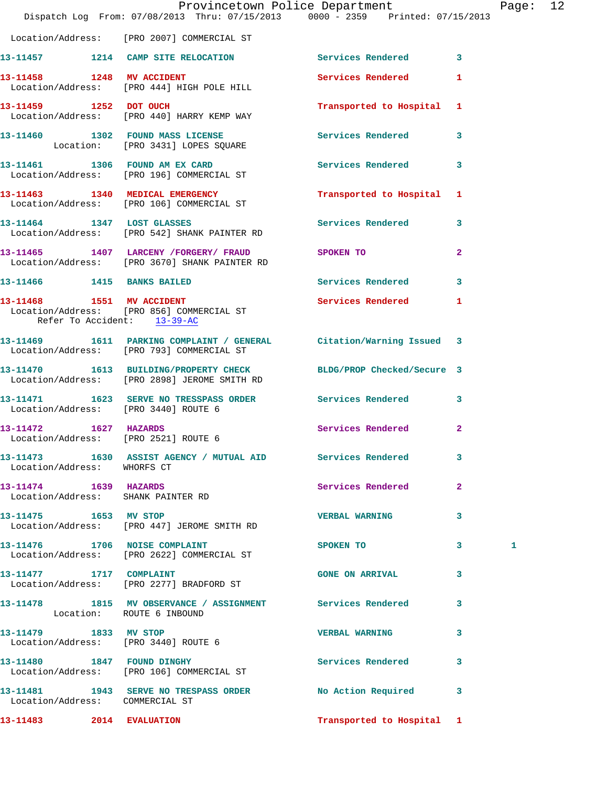|                                                               | Provincetown Police Department<br>Dispatch Log From: 07/08/2013 Thru: 07/15/2013 0000 - 2359 Printed: 07/15/2013 |                           |                         | Page: 12 |  |
|---------------------------------------------------------------|------------------------------------------------------------------------------------------------------------------|---------------------------|-------------------------|----------|--|
|                                                               | Location/Address: [PRO 2007] COMMERCIAL ST                                                                       |                           |                         |          |  |
|                                                               | 13-11457 1214 CAMP SITE RELOCATION Services Rendered 3                                                           |                           |                         |          |  |
|                                                               | 13-11458 1248 MV ACCIDENT<br>Location/Address: [PRO 444] HIGH POLE HILL                                          | Services Rendered 1       |                         |          |  |
| 13-11459 1252 DOT OUCH                                        | Location/Address: [PRO 440] HARRY KEMP WAY                                                                       | Transported to Hospital 1 |                         |          |  |
|                                                               | 13-11460 1302 FOUND MASS LICENSE<br>Location: [PRO 3431] LOPES SQUARE                                            | Services Rendered 3       |                         |          |  |
|                                                               | 13-11461 1306 FOUND AM EX CARD<br>Location/Address: [PRO 196] COMMERCIAL ST                                      | Services Rendered 3       |                         |          |  |
|                                                               | 13-11463 1340 MEDICAL EMERGENCY<br>Location/Address: [PRO 106] COMMERCIAL ST                                     | Transported to Hospital 1 |                         |          |  |
|                                                               | 13-11464 1347 LOST GLASSES<br>Location/Address: [PRO 542] SHANK PAINTER RD                                       | Services Rendered 3       |                         |          |  |
|                                                               | 13-11465 1407 LARCENY / FORGERY / FRAUD SPOKEN TO<br>Location/Address: [PRO 3670] SHANK PAINTER RD               |                           | $\mathbf{2}$            |          |  |
|                                                               | 13-11466 1415 BANKS BAILED                                                                                       | Services Rendered 3       |                         |          |  |
| Refer To Accident: 13-39-AC                                   | 13-11468 1551 MV ACCIDENT<br>Location/Address: [PRO 856] COMMERCIAL ST                                           | Services Rendered 1       |                         |          |  |
|                                                               | 13-11469 1611 PARKING COMPLAINT / GENERAL Citation/Warning Issued 3<br>Location/Address: [PRO 793] COMMERCIAL ST |                           |                         |          |  |
|                                                               | 13-11470 1613 BUILDING/PROPERTY CHECK BLDG/PROP Checked/Secure 3<br>Location/Address: [PRO 2898] JEROME SMITH RD |                           |                         |          |  |
| Location/Address: [PRO 3440] ROUTE 6                          | 13-11471 1623 SERVE NO TRESSPASS ORDER Services Rendered 3                                                       |                           |                         |          |  |
| 13-11472    1627    HAZARDS                                   | Location/Address: [PRO 2521] ROUTE 6                                                                             | Services Rendered 2       |                         |          |  |
| Location/Address: WHORFS CT                                   | 13-11473 1630 ASSIST AGENCY / MUTUAL AID Services Rendered                                                       |                           | 3                       |          |  |
| 13-11474 1639 HAZARDS<br>Location/Address: SHANK PAINTER RD   |                                                                                                                  | Services Rendered         | $\mathbf{2}$            |          |  |
|                                                               | 13-11475    1653    MV STOP<br>Location/Address: [PRO 447] JEROME SMITH RD                                       | <b>VERBAL WARNING</b>     | 3                       |          |  |
|                                                               | 13-11476 1706 NOISE COMPLAINT<br>Location/Address: [PRO 2622] COMMERCIAL ST                                      | SPOKEN TO                 | $\overline{\mathbf{3}}$ | 1        |  |
|                                                               | 13-11477 1717 COMPLAINT<br>Location/Address: [PRO 2277] BRADFORD ST                                              | <b>GONE ON ARRIVAL</b>    | 3                       |          |  |
| Location: ROUTE 6 INBOUND                                     | 13-11478 1815 MV OBSERVANCE / ASSIGNMENT Services Rendered 3                                                     |                           |                         |          |  |
| 13-11479 1833 MV STOP<br>Location/Address: [PRO 3440] ROUTE 6 |                                                                                                                  | <b>VERBAL WARNING</b>     | 3                       |          |  |
|                                                               | 13-11480 1847 FOUND DINGHY<br>Location/Address: [PRO 106] COMMERCIAL ST                                          | Services Rendered 3       |                         |          |  |
| Location/Address: COMMERCIAL ST                               | 13-11481 1943 SERVE NO TRESPASS ORDER No Action Required 3                                                       |                           |                         |          |  |
| 13-11483 2014 EVALUATION                                      |                                                                                                                  | Transported to Hospital 1 |                         |          |  |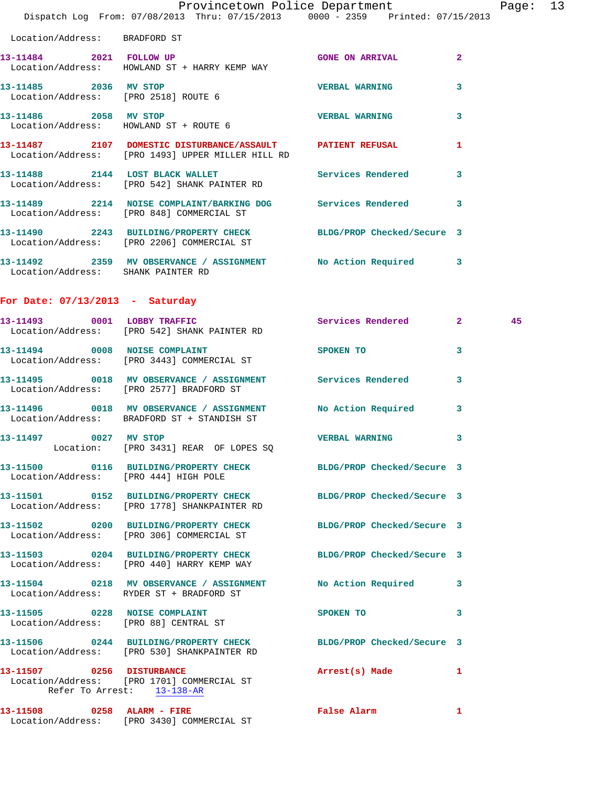|                                       | Provincetown Police Department The Rage: 13<br>Dispatch Log From: 07/08/2013 Thru: 07/15/2013 0000 - 2359 Printed: 07/15/2013 |                            |                         |    |  |
|---------------------------------------|-------------------------------------------------------------------------------------------------------------------------------|----------------------------|-------------------------|----|--|
| Location/Address: BRADFORD ST         |                                                                                                                               |                            |                         |    |  |
|                                       | 13-11484 2021 FOLLOW UP<br>Location/Address: HOWLAND ST + HARRY KEMP WAY                                                      | <b>GONE ON ARRIVAL</b>     | $\mathbf{2}$            |    |  |
| 13-11485 2036 MV STOP                 | Location/Address: [PRO 2518] ROUTE 6                                                                                          | <b>VERBAL WARNING</b>      | 3                       |    |  |
| 13-11486 2058 MV STOP                 | Location/Address: HOWLAND ST + ROUTE 6                                                                                        | <b>VERBAL WARNING</b>      | 3                       |    |  |
|                                       | 13-11487 2107 DOMESTIC DISTURBANCE/ASSAULT PATIENT REFUSAL<br>Location/Address: [PRO 1493] UPPER MILLER HILL RD               |                            | 1                       |    |  |
|                                       | 13-11488 2144 LOST BLACK WALLET<br>Location/Address: [PRO 542] SHANK PAINTER RD                                               | Services Rendered 3        |                         |    |  |
|                                       | 13-11489 2214 NOISE COMPLAINT/BARKING DOG Services Rendered<br>Location/Address: [PRO 848] COMMERCIAL ST                      |                            | $\overline{\mathbf{3}}$ |    |  |
|                                       | 13-11490 2243 BUILDING/PROPERTY CHECK BLDG/PROP Checked/Secure 3<br>Location/Address: [PRO 2206] COMMERCIAL ST                |                            |                         |    |  |
| Location/Address: SHANK PAINTER RD    | 13-11492 2359 MV OBSERVANCE / ASSIGNMENT No Action Required 3                                                                 |                            |                         |    |  |
| For Date: $07/13/2013$ - Saturday     |                                                                                                                               |                            |                         |    |  |
|                                       | 13-11493 0001 LOBBY TRAFFIC<br>Location/Address: [PRO 542] SHANK PAINTER RD                                                   | Services Rendered 2        |                         | 45 |  |
|                                       | 13-11494 0008 NOISE COMPLAINT<br>Location/Address: [PRO 3443] COMMERCIAL ST                                                   | SPOKEN TO 3                |                         |    |  |
|                                       | 13-11495 0018 MV OBSERVANCE / ASSIGNMENT Services Rendered<br>Location/Address: [PRO 2577] BRADFORD ST                        |                            | 3                       |    |  |
|                                       | 13-11496 0018 MV OBSERVANCE / ASSIGNMENT NO Action Required 3<br>Location/Address: BRADFORD ST + STANDISH ST                  |                            |                         |    |  |
| 13-11497<br>$\sim$ 0027               | MV STOP<br>Location: [PRO 3431] REAR OF LOPES SQ                                                                              | <b>VERBAL WARNING</b>      | 3                       |    |  |
| Location/Address: [PRO 444] HIGH POLE | 13-11500 0116 BUILDING/PROPERTY CHECK BLDG/PROP Checked/Secure 3                                                              |                            |                         |    |  |
|                                       | 13-11501 0152 BUILDING/PROPERTY CHECK<br>Location/Address: [PRO 1778] SHANKPAINTER RD                                         | BLDG/PROP Checked/Secure 3 |                         |    |  |
|                                       | 13-11502 0200 BUILDING/PROPERTY CHECK<br>Location/Address: [PRO 306] COMMERCIAL ST                                            | BLDG/PROP Checked/Secure 3 |                         |    |  |
|                                       | 13-11503 0204 BUILDING/PROPERTY CHECK BLDG/PROP Checked/Secure 3<br>Location/Address: [PRO 440] HARRY KEMP WAY                |                            |                         |    |  |
|                                       | 13-11504 0218 MV OBSERVANCE / ASSIGNMENT<br>Location/Address: RYDER ST + BRADFORD ST                                          | No Action Required 3       |                         |    |  |
|                                       | 13-11505 0228 NOISE COMPLAINT<br>Location/Address: [PRO 88] CENTRAL ST                                                        | SPOKEN TO                  | 3                       |    |  |
|                                       | 13-11506 0244 BUILDING/PROPERTY CHECK BLDG/PROP Checked/Secure 3<br>Location/Address: [PRO 530] SHANKPAINTER RD               |                            |                         |    |  |
| Refer To Arrest: 13-138-AR            | 13-11507 0256 DISTURBANCE<br>Location/Address: [PRO 1701] COMMERCIAL ST                                                       | Arrest(s) Made             | $\mathbf{1}$            |    |  |
|                                       | 13-11508 0258 ALARM - FIRE<br>Location/Address: [PRO 3430] COMMERCIAL ST                                                      | False Alarm                | $\mathbf{1}$            |    |  |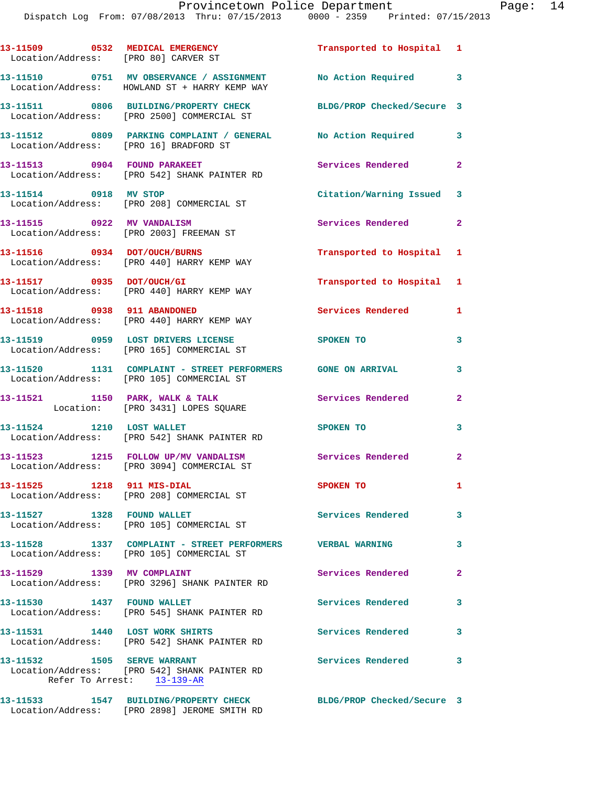| 13-11509 0532 MEDICAL EMERGENCY<br>Location/Address: [PRO 80] CARVER ST |                                                                                                                | Transported to Hospital 1  |                |
|-------------------------------------------------------------------------|----------------------------------------------------------------------------------------------------------------|----------------------------|----------------|
|                                                                         | 13-11510 0751 MV OBSERVANCE / ASSIGNMENT No Action Required 3<br>Location/Address: HOWLAND ST + HARRY KEMP WAY |                            |                |
|                                                                         | 13-11511 0806 BUILDING/PROPERTY CHECK<br>Location/Address: [PRO 2500] COMMERCIAL ST                            | BLDG/PROP Checked/Secure 3 |                |
|                                                                         | 13-11512 0809 PARKING COMPLAINT / GENERAL No Action Required<br>Location/Address: [PRO 16] BRADFORD ST         |                            | 3              |
|                                                                         | 13-11513 0904 FOUND PARAKEET<br>Location/Address: [PRO 542] SHANK PAINTER RD                                   | Services Rendered          | $\overline{2}$ |
| 13-11514 0918 MV STOP                                                   | Location/Address: [PRO 208] COMMERCIAL ST                                                                      | Citation/Warning Issued 3  |                |
| 13-11515 0922 MV VANDALISM                                              | Location/Address: [PRO 2003] FREEMAN ST                                                                        | Services Rendered 2        |                |
|                                                                         | 13-11516 0934 DOT/OUCH/BURNS<br>Location/Address: [PRO 440] HARRY KEMP WAY                                     | Transported to Hospital 1  |                |
| 13-11517 0935 DOT/OUCH/GI                                               | Location/Address: [PRO 440] HARRY KEMP WAY                                                                     | Transported to Hospital 1  |                |
|                                                                         | 13-11518 0938 911 ABANDONED<br>Location/Address: [PRO 440] HARRY KEMP WAY                                      | <b>Services Rendered</b>   | 1              |
|                                                                         | 13-11519 0959 LOST DRIVERS LICENSE<br>Location/Address: [PRO 165] COMMERCIAL ST                                | SPOKEN TO                  | 3              |
|                                                                         | 13-11520 1131 COMPLAINT - STREET PERFORMERS GONE ON ARRIVAL<br>Location/Address: [PRO 105] COMMERCIAL ST       |                            | 3              |
| 13-11521 1150 PARK, WALK & TALK                                         | Location: [PRO 3431] LOPES SQUARE                                                                              | <b>Services Rendered</b>   | $\mathbf{2}$   |
|                                                                         | 13-11524 1210 LOST WALLET<br>Location/Address: [PRO 542] SHANK PAINTER RD                                      | SPOKEN TO                  | 3              |
|                                                                         | 13-11523 1215 FOLLOW UP/MV VANDALISM<br>Location/Address: [PRO 3094] COMMERCIAL ST                             | Services Rendered          | $\overline{a}$ |
| 13-11525 1218 911 MIS-DIAL                                              | Location/Address: [PRO 208] COMMERCIAL ST                                                                      | SPOKEN TO                  | $\mathbf{1}$   |
| 13-11527 1328 FOUND WALLET                                              | Location/Address: [PRO 105] COMMERCIAL ST                                                                      | Services Rendered          | 3              |
|                                                                         | 13-11528 1337 COMPLAINT - STREET PERFORMERS VERBAL WARNING<br>Location/Address: [PRO 105] COMMERCIAL ST        |                            | 3              |
| 13-11529 1339 MV COMPLAINT                                              | Location/Address: [PRO 3296] SHANK PAINTER RD                                                                  | Services Rendered          | $\mathbf{2}$   |
| 13-11530 1437 FOUND WALLET                                              | Location/Address: [PRO 545] SHANK PAINTER RD                                                                   | <b>Services Rendered</b>   | 3              |
| 13-11531 1440 LOST WORK SHIRTS                                          | Location/Address: [PRO 542] SHANK PAINTER RD                                                                   | Services Rendered          | 3              |
| 13-11532 1505 SERVE WARRANT                                             | Location/Address: [PRO 542] SHANK PAINTER RD<br>Refer To Arrest: 13-139-AR                                     | <b>Services Rendered</b>   | 3              |
|                                                                         | 13-11533 1547 BUILDING/PROPERTY CHECK                                                                          | BLDG/PROP Checked/Secure 3 |                |

Location/Address: [PRO 2898] JEROME SMITH RD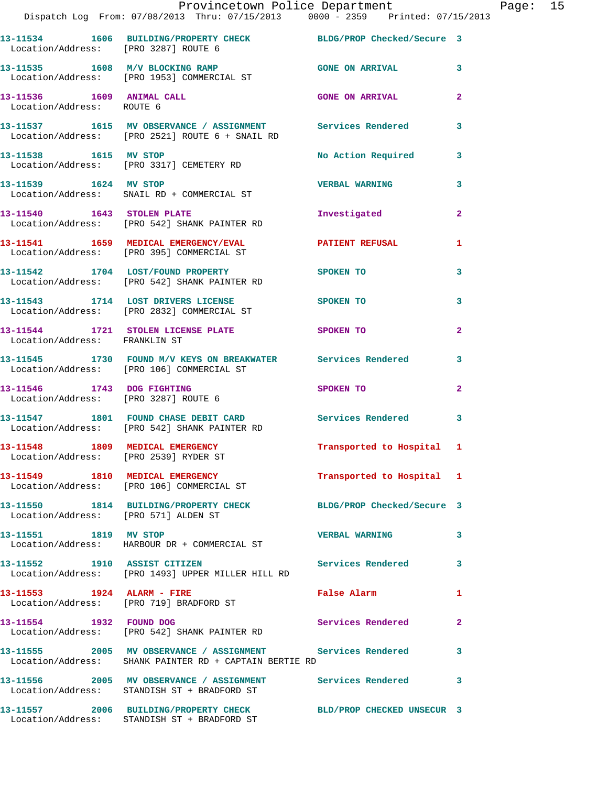|                                                        | Provincetown Police Department<br>Dispatch Log From: 07/08/2013 Thru: 07/15/2013 0000 - 2359 Printed: 07/15/2013     |                            |                |
|--------------------------------------------------------|----------------------------------------------------------------------------------------------------------------------|----------------------------|----------------|
| Location/Address: [PRO 3287] ROUTE 6                   | 13-11534 1606 BUILDING/PROPERTY CHECK BLDG/PROP Checked/Secure 3                                                     |                            |                |
|                                                        | 13-11535 1608 M/V BLOCKING RAMP (GONE ON ARRIVAL<br>Location/Address: [PRO 1953] COMMERCIAL ST                       |                            | 3              |
| 13-11536 1609 ANIMAL CALL<br>Location/Address: ROUTE 6 |                                                                                                                      | <b>GONE ON ARRIVAL</b>     | $\overline{2}$ |
|                                                        | 13-11537 1615 MV OBSERVANCE / ASSIGNMENT Services Rendered<br>Location/Address: [PRO 2521] ROUTE 6 + SNAIL RD        |                            | 3              |
|                                                        | 13-11538    1615    MV    STOP<br>Location/Address: [PRO 3317] CEMETERY RD                                           | <b>No Action Required</b>  | 3              |
| 13-11539 1624 MV STOP                                  | Location/Address: SNAIL RD + COMMERCIAL ST                                                                           | <b>VERBAL WARNING</b>      | 3              |
|                                                        | 13-11540 1643 STOLEN PLATE<br>Location/Address: [PRO 542] SHANK PAINTER RD                                           | Investigated               | $\overline{2}$ |
|                                                        |                                                                                                                      |                            | 1              |
|                                                        | 13-11542 1704 LOST/FOUND PROPERTY<br>Location/Address: [PRO 542] SHANK PAINTER RD                                    | <b>SPOKEN TO</b>           | 3              |
|                                                        | 13-11543 1714 LOST DRIVERS LICENSE<br>Location/Address: [PRO 2832] COMMERCIAL ST                                     | <b>SPOKEN TO</b>           | 3              |
| Location/Address: FRANKLIN ST                          | 13-11544 1721 STOLEN LICENSE PLATE SPOKEN TO                                                                         |                            | $\mathbf{2}$   |
|                                                        | 13-11545 1730 FOUND M/V KEYS ON BREAKWATER Services Rendered<br>Location/Address: [PRO 106] COMMERCIAL ST            |                            | 3              |
|                                                        | 13-11546 1743 DOG FIGHTING<br>Location/Address: [PRO 3287] ROUTE 6                                                   | SPOKEN TO                  | $\overline{2}$ |
|                                                        | 13-11547 1801 FOUND CHASE DEBIT CARD Services Rendered<br>Location/Address: [PRO 542] SHANK PAINTER RD               |                            | 3              |
| Location/Address: [PRO 2539] RYDER ST                  | 13-11548 1809 MEDICAL EMERGENCY                                                                                      | Transported to Hospital 1  |                |
|                                                        | 13-11549 1810 MEDICAL EMERGENCY<br>Location/Address: [PRO 106] COMMERCIAL ST                                         | Transported to Hospital 1  |                |
| Location/Address: [PRO 571] ALDEN ST                   | 13-11550 1814 BUILDING/PROPERTY CHECK BLDG/PROP Checked/Secure 3                                                     |                            |                |
| 13-11551 1819 MV STOP                                  | Location/Address: HARBOUR DR + COMMERCIAL ST                                                                         | <b>VERBAL WARNING</b>      | 3              |
| 13-11552 1910 ASSIST CITIZEN                           | Location/Address: [PRO 1493] UPPER MILLER HILL RD                                                                    | <b>Services Rendered</b>   | 3              |
| 13-11553 1924 ALARM - FIRE                             | Location/Address: [PRO 719] BRADFORD ST                                                                              | False Alarm                | 1              |
| 13-11554 1932 FOUND DOG                                | Location/Address: [PRO 542] SHANK PAINTER RD                                                                         | Services Rendered          | $\overline{2}$ |
|                                                        | 13-11555 2005 MV OBSERVANCE / ASSIGNMENT Services Rendered<br>Location/Address: SHANK PAINTER RD + CAPTAIN BERTIE RD |                            | 3              |
|                                                        | 13-11556 2005 MV OBSERVANCE / ASSIGNMENT Services Rendered<br>Location/Address: STANDISH ST + BRADFORD ST            |                            | 3              |
|                                                        | 13-11557 2006 BUILDING/PROPERTY CHECK                                                                                | BLD/PROP CHECKED UNSECUR 3 |                |

Location/Address: STANDISH ST + BRADFORD ST

Page: 15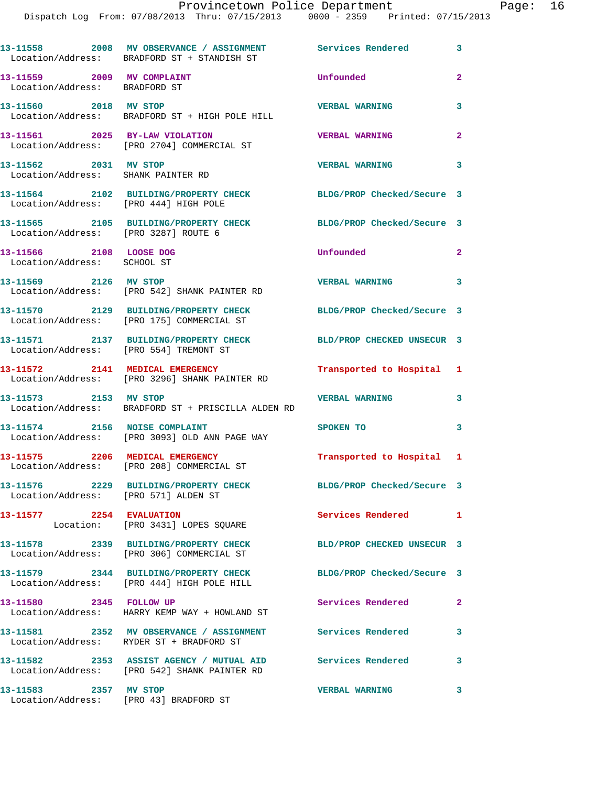|                                                             | 13-11558 2008 MV OBSERVANCE / ASSIGNMENT Services Rendered 3<br>Location/Address: BRADFORD ST + STANDISH ST |                            |                |
|-------------------------------------------------------------|-------------------------------------------------------------------------------------------------------------|----------------------------|----------------|
| 13-11559 2009 MV COMPLAINT<br>Location/Address: BRADFORD ST |                                                                                                             | Unfounded                  | $\overline{2}$ |
| 13-11560 2018 MV STOP                                       | Location/Address: BRADFORD ST + HIGH POLE HILL                                                              | <b>VERBAL WARNING</b>      | 3              |
|                                                             | 13-11561 2025 BY-LAW VIOLATION<br>Location/Address: [PRO 2704] COMMERCIAL ST                                | <b>VERBAL WARNING</b>      | $\overline{a}$ |
| 13-11562 2031 MV STOP<br>Location/Address: SHANK PAINTER RD |                                                                                                             | <b>VERBAL WARNING</b>      | 3              |
| Location/Address: [PRO 444] HIGH POLE                       | 13-11564 2102 BUILDING/PROPERTY CHECK                                                                       | BLDG/PROP Checked/Secure 3 |                |
| Location/Address: [PRO 3287] ROUTE 6                        | 13-11565 2105 BUILDING/PROPERTY CHECK                                                                       | BLDG/PROP Checked/Secure 3 |                |
| 13-11566 2108 LOOSE DOG<br>Location/Address: SCHOOL ST      |                                                                                                             | Unfounded                  | $\mathbf{2}$   |
| 13-11569 2126 MV STOP                                       | Location/Address: [PRO 542] SHANK PAINTER RD                                                                | VERBAL WARNING 3           |                |
|                                                             | 13-11570 2129 BUILDING/PROPERTY CHECK<br>Location/Address: [PRO 175] COMMERCIAL ST                          | BLDG/PROP Checked/Secure 3 |                |
|                                                             |                                                                                                             | BLD/PROP CHECKED UNSECUR 3 |                |
|                                                             | 13-11572 2141 MEDICAL EMERGENCY<br>Location/Address: [PRO 3296] SHANK PAINTER RD                            | Transported to Hospital 1  |                |
| 13-11573 2153 MV STOP                                       | Location/Address: BRADFORD ST + PRISCILLA ALDEN RD                                                          | <b>VERBAL WARNING</b>      | 3              |
| 13-11574 2156 NOISE COMPLAINT                               | Location/Address: [PRO 3093] OLD ANN PAGE WAY                                                               | <b>SPOKEN TO</b>           | 3              |
|                                                             | 13-11575 2206 MEDICAL EMERGENCY<br>Location/Address: [PRO 208] COMMERCIAL ST                                | Transported to Hospital 1  |                |
| Location/Address: [PRO 571] ALDEN ST                        | 13-11576 2229 BUILDING/PROPERTY CHECK                                                                       | BLDG/PROP Checked/Secure 3 |                |
| 13-11577 2254 EVALUATION                                    | Location: [PRO 3431] LOPES SQUARE                                                                           | Services Rendered 1        |                |
|                                                             | 13-11578 2339 BUILDING/PROPERTY CHECK<br>Location/Address: [PRO 306] COMMERCIAL ST                          | BLD/PROP CHECKED UNSECUR 3 |                |
|                                                             | 13-11579 2344 BUILDING/PROPERTY CHECK<br>Location/Address: [PRO 444] HIGH POLE HILL                         | BLDG/PROP Checked/Secure 3 |                |
| 13-11580 2345 FOLLOW UP                                     | Location/Address: HARRY KEMP WAY + HOWLAND ST                                                               | Services Rendered          | $\mathbf{2}$   |
|                                                             | 13-11581 2352 MV OBSERVANCE / ASSIGNMENT Services Rendered<br>Location/Address: RYDER ST + BRADFORD ST      |                            | 3              |
|                                                             | 13-11582 2353 ASSIST AGENCY / MUTUAL AID Services Rendered<br>Location/Address: [PRO 542] SHANK PAINTER RD  |                            | 3              |
| 13-11583 2357 MV STOP                                       | Location/Address: [PRO 43] BRADFORD ST                                                                      | <b>VERBAL WARNING</b>      | 3              |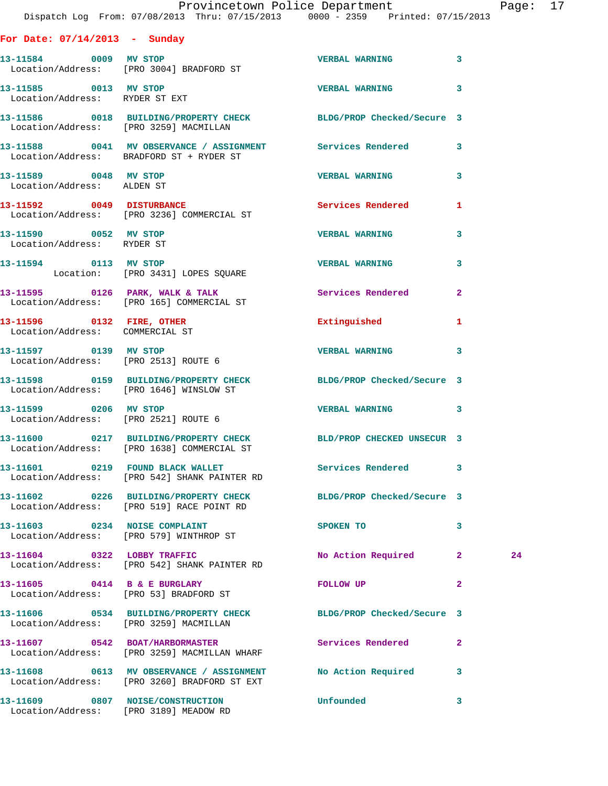|                                                     | Provincetown Police Department The Rage: 17<br>Dispatch Log From: 07/08/2013 Thru: 07/15/2013 0000 - 2359 Printed: 07/15/2013          |                         |              |    |  |
|-----------------------------------------------------|----------------------------------------------------------------------------------------------------------------------------------------|-------------------------|--------------|----|--|
| For Date: $07/14/2013$ - Sunday                     |                                                                                                                                        |                         |              |    |  |
|                                                     | 13-11584 0009 MV STOP<br>Location/Address: [PRO 3004] BRADFORD ST                                                                      | <b>VERBAL WARNING 3</b> |              |    |  |
| 13-11585 0013 MV STOP                               | Location/Address: RYDER ST EXT                                                                                                         | <b>VERBAL WARNING 3</b> |              |    |  |
|                                                     | 13-11586 0018 BUILDING/PROPERTY CHECK BLDG/PROP Checked/Secure 3<br>Location/Address: [PRO 3259] MACMILLAN                             |                         |              |    |  |
|                                                     | 13-11588 0041 MV OBSERVANCE / ASSIGNMENT Services Rendered 3<br>Location/Address: BRADFORD ST + RYDER ST                               |                         |              |    |  |
| 13-11589 0048 MV STOP<br>Location/Address: ALDEN ST |                                                                                                                                        | <b>VERBAL WARNING</b>   | $\mathbf{3}$ |    |  |
|                                                     |                                                                                                                                        |                         | $\mathbf{1}$ |    |  |
| 13-11590 0052 MV STOP<br>Location/Address: RYDER ST |                                                                                                                                        | <b>VERBAL WARNING</b>   | $\mathbf{3}$ |    |  |
|                                                     | 13-11594 0113 MV STOP<br>Location: [PRO 3431] LOPES SQUARE                                                                             | <b>VERBAL WARNING</b>   | 3            |    |  |
|                                                     | 13-11595 0126 PARK, WALK & TALK 3 Services Rendered 2<br>Location/Address: [PRO 165] COMMERCIAL ST                                     |                         |              |    |  |
| Location/Address: COMMERCIAL ST                     | 13-11596 0132 FIRE, OTHER Extinguished                                                                                                 |                         | $\mathbf{1}$ |    |  |
| 13-11597 0139 MV STOP                               | Location/Address: [PRO 2513] ROUTE 6                                                                                                   | <b>VERBAL WARNING 3</b> |              |    |  |
|                                                     | 13-11598 0159 BUILDING/PROPERTY CHECK BLDG/PROP Checked/Secure 3<br>Location/Address: [PRO 1646] WINSLOW ST                            |                         |              |    |  |
| 13-11599 0206 MV STOP                               | Location/Address: [PRO 2521] ROUTE 6                                                                                                   | <b>VERBAL WARNING 3</b> |              |    |  |
|                                                     | 13-11600 0217 BUILDING/PROPERTY CHECK BLD/PROP CHECKED UNSECUR 3<br>Location/Address: [PRO 1638] COMMERCIAL ST                         |                         |              |    |  |
|                                                     | 13-11601 0219 FOUND BLACK WALLET                       Services Rendered         3<br>Location/Address:     [PRO 542] SHANK PAINTER RD |                         |              |    |  |
|                                                     | 13-11602 0226 BUILDING/PROPERTY CHECK BLDG/PROP Checked/Secure 3<br>Location/Address: [PRO 519] RACE POINT RD                          |                         |              |    |  |
|                                                     | 13-11603 0234 NOISE COMPLAINT<br>Location/Address: [PRO 579] WINTHROP ST                                                               | SPOKEN TO               | $\mathbf{3}$ |    |  |
|                                                     | 13-11604 0322 LOBBY TRAFFIC<br>Location/Address: [PRO 542] SHANK PAINTER RD                                                            | No Action Required 2    |              | 24 |  |
| 13-11605 0414 B & E BURGLARY                        | Location/Address: [PRO 53] BRADFORD ST                                                                                                 | FOLLOW UP               | $\mathbf{2}$ |    |  |
| Location/Address: [PRO 3259] MACMILLAN              | 13-11606 0534 BUILDING/PROPERTY CHECK BLDG/PROP Checked/Secure 3                                                                       |                         |              |    |  |
|                                                     | 13-11607 0542 BOAT/HARBORMASTER<br>Location/Address: [PRO 3259] MACMILLAN WHARF                                                        | Services Rendered 2     |              |    |  |
|                                                     | 13-11608 0613 MV OBSERVANCE / ASSIGNMENT No Action Required 3<br>Location/Address: [PRO 3260] BRADFORD ST EXT                          |                         |              |    |  |
|                                                     | 13-11609       0807  NOISE/CONSTRUCTION            Unfounded           3                                                               |                         |              |    |  |

Location/Address: [PRO 3189] MEADOW RD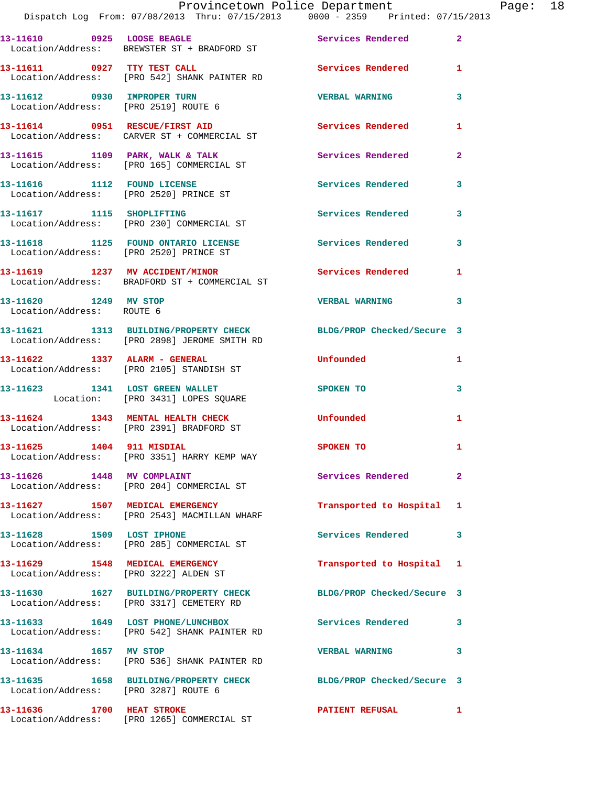|                                                    | Provincetown Police Department<br>Dispatch Log From: 07/08/2013 Thru: 07/15/2013 0000 - 2359 Printed: 07/15/2013 |                            |              | Page: 18 |  |
|----------------------------------------------------|------------------------------------------------------------------------------------------------------------------|----------------------------|--------------|----------|--|
|                                                    | 13-11610 0925 LOOSE BEAGLE 3 Services Rendered 2<br>Location/Address: BREWSTER ST + BRADFORD ST                  |                            |              |          |  |
|                                                    | 13-11611 0927 TTY TEST CALL<br>Location/Address: [PRO 542] SHANK PAINTER RD                                      | Services Rendered 1        |              |          |  |
|                                                    |                                                                                                                  | <b>VERBAL WARNING</b>      | 3            |          |  |
|                                                    | 13-11614 0951 RESCUE/FIRST AID<br>Location/Address: CARVER ST + COMMERCIAL ST                                    | Services Rendered 1        |              |          |  |
|                                                    | 13-11615 1109 PARK, WALK & TALK (2008) Services Rendered 2<br>Location/Address: [PRO 165] COMMERCIAL ST          |                            |              |          |  |
|                                                    | 13-11616 1112 FOUND LICENSE<br>Location/Address: [PRO 2520] PRINCE ST                                            | <b>Services Rendered</b>   | 3            |          |  |
|                                                    | 13-11617 1115 SHOPLIFTING<br>Location/Address: [PRO 230] COMMERCIAL ST                                           | Services Rendered 3        |              |          |  |
|                                                    | 13-11618 1125 FOUND ONTARIO LICENSE Services Rendered<br>Location/Address: [PRO 2520] PRINCE ST                  |                            | 3            |          |  |
|                                                    | 13-11619 1237 MV ACCIDENT/MINOR Services Rendered 1<br>Location/Address: BRADFORD ST + COMMERCIAL ST             |                            |              |          |  |
| 13-11620 1249 MV STOP<br>Location/Address: ROUTE 6 |                                                                                                                  | <b>VERBAL WARNING</b>      | 3            |          |  |
|                                                    | 13-11621 1313 BUILDING/PROPERTY CHECK BLDG/PROP Checked/Secure 3<br>Location/Address: [PRO 2898] JEROME SMITH RD |                            |              |          |  |
|                                                    | 13-11622 1337 ALARM - GENERAL<br>Location/Address: [PRO 2105] STANDISH ST                                        | Unfounded                  | $\mathbf{1}$ |          |  |
|                                                    | 13-11623 1341 LOST GREEN WALLET<br>Location: [PRO 3431] LOPES SQUARE                                             | <b>SPOKEN TO</b>           | 3            |          |  |
|                                                    | 13-11624 1343 MENTAL HEALTH CHECK Unfounded<br>Location/Address: [PRO 2391] BRADFORD ST                          |                            | $\mathbf{1}$ |          |  |
| 13-11625 1404 911 MISDIAL                          | Location/Address: [PRO 3351] HARRY KEMP WAY                                                                      | <b>SPOKEN TO</b>           |              |          |  |
|                                                    | 13-11626 1448 MV COMPLAINT<br>Location/Address: [PRO 204] COMMERCIAL ST                                          | Services Rendered          | $\mathbf{2}$ |          |  |
|                                                    | 13-11627 1507 MEDICAL EMERGENCY<br>Location/Address: [PRO 2543] MACMILLAN WHARF                                  | Transported to Hospital 1  |              |          |  |
|                                                    | 13-11628 1509 LOST IPHONE<br>Location/Address: [PRO 285] COMMERCIAL ST                                           | Services Rendered          | 3            |          |  |
|                                                    | 13-11629 1548 MEDICAL EMERGENCY<br>Location/Address: [PRO 3222] ALDEN ST                                         | Transported to Hospital 1  |              |          |  |
|                                                    | 13-11630 1627 BUILDING/PROPERTY CHECK<br>Location/Address: [PRO 3317] CEMETERY RD                                | BLDG/PROP Checked/Secure 3 |              |          |  |
|                                                    | 13-11633 1649 LOST PHONE/LUNCHBOX<br>Location/Address: [PRO 542] SHANK PAINTER RD                                | Services Rendered 3        |              |          |  |
|                                                    | 13-11634 1657 MV STOP<br>Location/Address: [PRO 536] SHANK PAINTER RD                                            | <b>VERBAL WARNING</b>      | 3            |          |  |
| Location/Address: [PRO 3287] ROUTE 6               | 13-11635 1658 BUILDING/PROPERTY CHECK BLDG/PROP Checked/Secure 3                                                 |                            |              |          |  |
|                                                    |                                                                                                                  |                            |              |          |  |

Location/Address: [PRO 1265] COMMERCIAL ST

**13-11636 1700 HEAT STROKE PATIENT REFUSAL 1**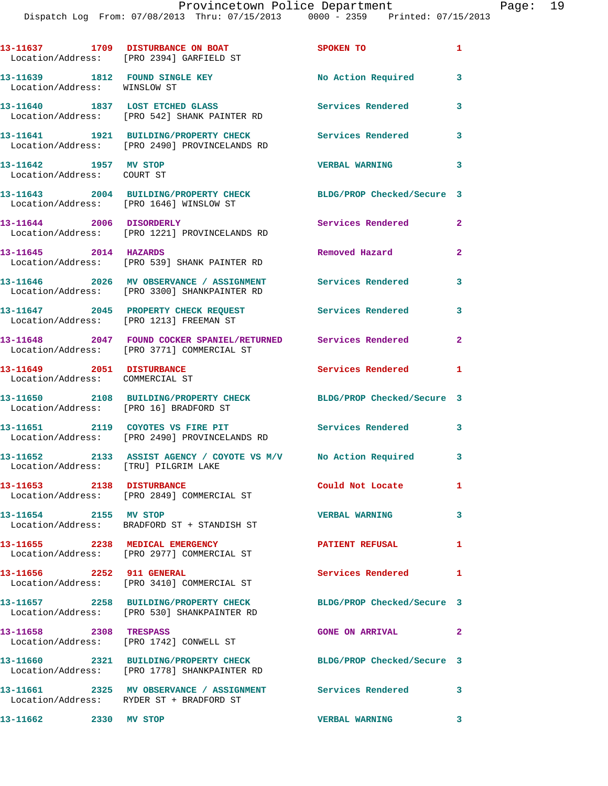|                                                                | 13-11637 1709 DISTURBANCE ON BOAT<br>Location/Address: [PRO 2394] GARFIELD ST                               | SPOKEN TO                  | $\mathbf{1}$            |
|----------------------------------------------------------------|-------------------------------------------------------------------------------------------------------------|----------------------------|-------------------------|
| 13-11639 1812 FOUND SINGLE KEY<br>Location/Address: WINSLOW ST |                                                                                                             | No Action Required         | 3                       |
|                                                                | 13-11640 1837 LOST ETCHED GLASS<br>Location/Address: [PRO 542] SHANK PAINTER RD                             | <b>Services Rendered</b>   | 3                       |
|                                                                | 13-11641 1921 BUILDING/PROPERTY CHECK<br>Location/Address: [PRO 2490] PROVINCELANDS RD                      | <b>Services Rendered</b>   | 3                       |
| 13-11642 1957 MV STOP<br>Location/Address: COURT ST            |                                                                                                             | <b>VERBAL WARNING</b>      | 3                       |
| Location/Address: [PRO 1646] WINSLOW ST                        | 13-11643 2004 BUILDING/PROPERTY CHECK                                                                       | BLDG/PROP Checked/Secure 3 |                         |
|                                                                | 13-11644 2006 DISORDERLY<br>Location/Address: [PRO 1221] PROVINCELANDS RD                                   | Services Rendered          | $\overline{2}$          |
| 13-11645 2014 HAZARDS                                          | Location/Address: [PRO 539] SHANK PAINTER RD                                                                | Removed Hazard             | $\overline{2}$          |
|                                                                | 13-11646 2026 MV OBSERVANCE / ASSIGNMENT<br>Location/Address: [PRO 3300] SHANKPAINTER RD                    | Services Rendered          | 3                       |
|                                                                | 13-11647 2045 PROPERTY CHECK REQUEST Services Rendered<br>Location/Address: [PRO 1213] FREEMAN ST           |                            | 3                       |
|                                                                | 13-11648 2047 FOUND COCKER SPANIEL/RETURNED Services Rendered<br>Location/Address: [PRO 3771] COMMERCIAL ST |                            | $\mathbf{2}$            |
| 13-11649 2051 DISTURBANCE<br>Location/Address: COMMERCIAL ST   |                                                                                                             | Services Rendered          | 1                       |
| Location/Address: [PRO 16] BRADFORD ST                         | 13-11650 2108 BUILDING/PROPERTY CHECK                                                                       | BLDG/PROP Checked/Secure 3 |                         |
|                                                                | 13-11651 2119 COYOTES VS FIRE PIT<br>Location/Address: [PRO 2490] PROVINCELANDS RD                          | <b>Services Rendered</b>   | 3                       |
| Location/Address: [TRU] PILGRIM LAKE                           | 13-11652 2133 ASSIST AGENCY / COYOTE VS M/V No Action Required 3                                            |                            |                         |
| 13-11653 2138 DISTURBANCE                                      | Location/Address: [PRO 2849] COMMERCIAL ST                                                                  | Could Not Locate           | $\mathbf{1}$            |
| 13-11654 2155 MV STOP                                          | Location/Address: BRADFORD ST + STANDISH ST                                                                 | <b>VERBAL WARNING</b>      | 3                       |
| 13-11655 2238 MEDICAL EMERGENCY                                | Location/Address: [PRO 2977] COMMERCIAL ST                                                                  | <b>PATIENT REFUSAL</b>     | $\mathbf{1}$            |
| 13-11656 2252 911 GENERAL                                      | Location/Address: [PRO 3410] COMMERCIAL ST                                                                  | Services Rendered          | 1                       |
|                                                                | 13-11657 2258 BUILDING/PROPERTY CHECK<br>Location/Address: [PRO 530] SHANKPAINTER RD                        | BLDG/PROP Checked/Secure 3 |                         |
| 13-11658 2308 TRESPASS                                         | Location/Address: [PRO 1742] CONWELL ST                                                                     | <b>GONE ON ARRIVAL</b>     | 2                       |
|                                                                | 13-11660 2321 BUILDING/PROPERTY CHECK<br>Location/Address: [PRO 1778] SHANKPAINTER RD                       | BLDG/PROP Checked/Secure 3 |                         |
|                                                                | Location/Address: RYDER ST + BRADFORD ST                                                                    |                            | 3                       |
| 13-11662 2330 MV STOP                                          |                                                                                                             | <b>VERBAL WARNING</b>      | $\overline{\mathbf{3}}$ |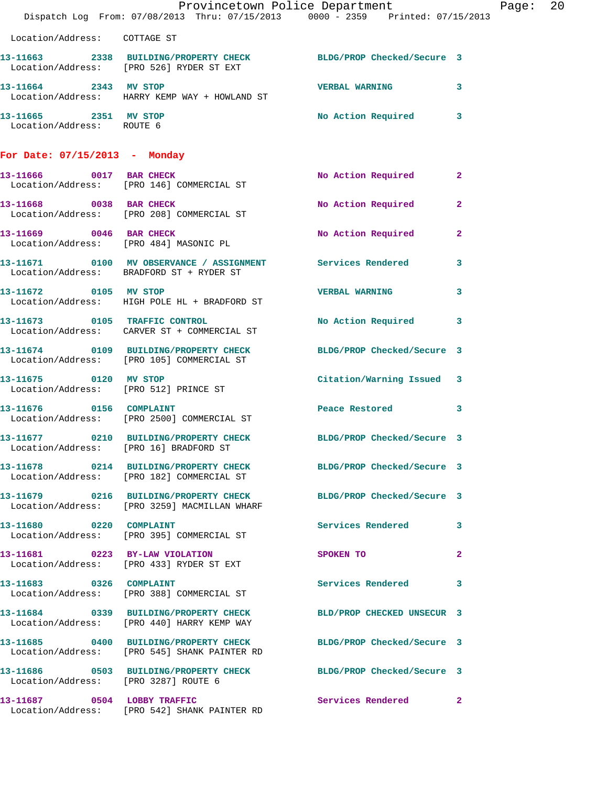|                                                                | Provincetown Police Department The Rage: 20<br>Dispatch Log From: 07/08/2013 Thru: 07/15/2013 0000 - 2359 Printed: 07/15/2013 |                            |              |  |
|----------------------------------------------------------------|-------------------------------------------------------------------------------------------------------------------------------|----------------------------|--------------|--|
| Location/Address: COTTAGE ST                                   |                                                                                                                               |                            |              |  |
|                                                                | 13-11663 2338 BUILDING/PROPERTY CHECK BLDG/PROP Checked/Secure 3<br>Location/Address: [PRO 526] RYDER ST EXT                  |                            |              |  |
| 13-11664 2343 MV STOP                                          | Location/Address: HARRY KEMP WAY + HOWLAND ST                                                                                 | VERBAL WARNING 3           |              |  |
| 13-11665 2351 MV STOP<br>Location/Address: ROUTE 6             |                                                                                                                               | No Action Required 3       |              |  |
| For Date: 07/15/2013 - Monday                                  |                                                                                                                               |                            |              |  |
|                                                                | 13-11666 0017 BAR CHECK<br>Location/Address: [PRO 146] COMMERCIAL ST                                                          | No Action Required 2       |              |  |
| 13-11668 0038 BAR CHECK                                        | Location/Address: [PRO 208] COMMERCIAL ST                                                                                     | No Action Required         | $\mathbf{2}$ |  |
|                                                                | 13-11669 0046 BAR CHECK<br>Location/Address: [PRO 484] MASONIC PL                                                             | No Action Required         | $\mathbf{2}$ |  |
|                                                                | 13-11671 0100 MV OBSERVANCE / ASSIGNMENT Services Rendered 3<br>Location/Address: BRADFORD ST + RYDER ST                      |                            |              |  |
| 13-11672 0105 MV STOP                                          | Location/Address: HIGH POLE HL + BRADFORD ST                                                                                  | VERBAL WARNING 3           |              |  |
|                                                                | 13-11673 0105 TRAFFIC CONTROL<br>Location/Address: CARVER ST + COMMERCIAL ST                                                  | No Action Required 3       |              |  |
|                                                                | 13-11674 0109 BUILDING/PROPERTY CHECK BLDG/PROP Checked/Secure 3<br>Location/Address: [PRO 105] COMMERCIAL ST                 |                            |              |  |
| 13-11675 0120 MV STOP<br>Location/Address: [PRO 512] PRINCE ST |                                                                                                                               | Citation/Warning Issued 3  |              |  |
| 13-11676 0156 COMPLAINT                                        | Location/Address: [PRO 2500] COMMERCIAL ST                                                                                    | Peace Restored 3           |              |  |
| Location/Address: [PRO 16] BRADFORD ST                         | 13-11677 0210 BUILDING/PROPERTY CHECK                                                                                         | BLDG/PROP Checked/Secure 3 |              |  |
|                                                                | 13-11678 0214 BUILDING/PROPERTY CHECK BLDG/PROP Checked/Secure 3<br>Location/Address: [PRO 182] COMMERCIAL ST                 |                            |              |  |
|                                                                | 13-11679 0216 BUILDING/PROPERTY CHECK BLDG/PROP Checked/Secure 3<br>Location/Address: [PRO 3259] MACMILLAN WHARF              |                            |              |  |
|                                                                | 13-11680 0220 COMPLAINT<br>Location/Address: [PRO 395] COMMERCIAL ST                                                          | Services Rendered 3        |              |  |
|                                                                | 13-11681 0223 BY-LAW VIOLATION<br>Location/Address: [PRO 433] RYDER ST EXT                                                    | SPOKEN TO                  | $\mathbf{2}$ |  |
|                                                                | 13-11683 0326 COMPLAINT<br>Location/Address: [PRO 388] COMMERCIAL ST                                                          | Services Rendered 3        |              |  |
|                                                                | 13-11684 0339 BUILDING/PROPERTY CHECK BLD/PROP CHECKED UNSECUR 3<br>Location/Address: [PRO 440] HARRY KEMP WAY                |                            |              |  |
|                                                                | 13-11685 0400 BUILDING/PROPERTY CHECK BLDG/PROP Checked/Secure 3<br>Location/Address: [PRO 545] SHANK PAINTER RD              |                            |              |  |
| Location/Address: [PRO 3287] ROUTE 6                           | 13-11686 0503 BUILDING/PROPERTY CHECK BLDG/PROP Checked/Secure 3                                                              |                            |              |  |
|                                                                | 13-11687 0504 LOBBY TRAFFIC<br>Location/Address: [PRO 542] SHANK PAINTER RD                                                   | Services Rendered 2        |              |  |